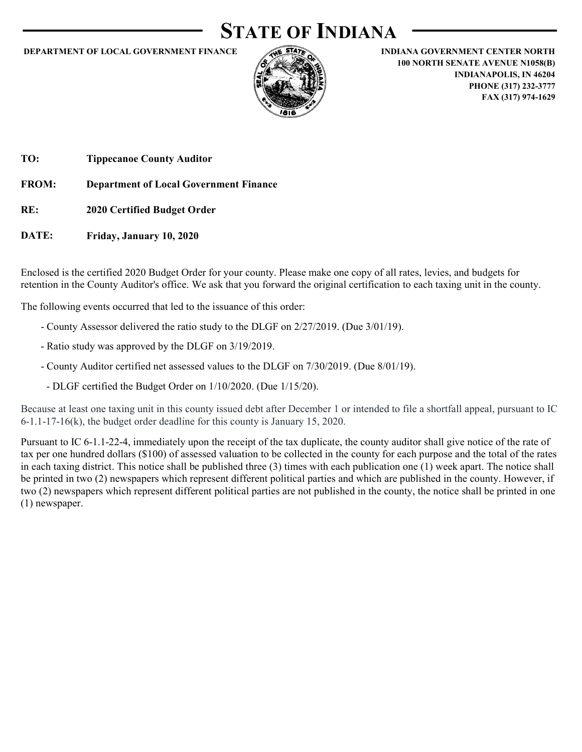### STATE OF INDIANA



DEPARTMENT OF LOCAL GOVERNMENT FINANCE<br>
DEPARTMENT OF LOCAL GOVERNMENT FINANCE<br>
INDIANA GOVERNMENT CENTER NORTH<br>
IO NORTH SENATE AVENUE NO ESSEE AND INDIANAPOLIS, IN 46204<br>
PHONE (317) 232-3777<br>
FAX (317) 974-1629 100 NORTH SENATE AVENUE N1058(B) INDIANAPOLIS, IN 46204 PHONE (317) 232-3777 FAX (317) 974-1629

TO: Tippecanoe County Auditor

DATE: Friday, January 10, 2020

Enclosed is the certified 2020 Budget Order for your county. Please make one copy of all rates, levies, and budgets for retention in the County Auditor's office. We ask that you forward the original certification to each taxing unit in the county.

The following events occurred that led to the issuance of this order:

- County Assessor delivered the ratio study to the DLGF on 2/27/2019. (Due 3/01/19).
- Ratio study was approved by the DLGF on 3/19/2019.
- County Auditor certified net assessed values to the DLGF on 7/30/2019. (Due 8/01/19).
- DLGF certified the Budget Order on 1/10/2020. (Due 1/15/20).

Because at least one taxing unit in this county issued debt after December 1 or intended to file a shortfall appeal, pursuant to IC 6-1.1-17-16(k), the budget order deadline for this county is January 15, 2020.

Pursuant to IC 6-1.1-22-4, immediately upon the receipt of the tax duplicate, the county auditor shall give notice of the rate of tax per one hundred dollars (\$100) of assessed valuation to be collected in the county for each purpose and the total of the rates in each taxing district. This notice shall be published three (3) times with each publication one (1) week apart. The notice shall be printed in two (2) newspapers which represent different political parties and which are published in the county. However, if two (2) newspapers which represent different political parties are not published in the county, the notice shall be printed in one (1) newspaper.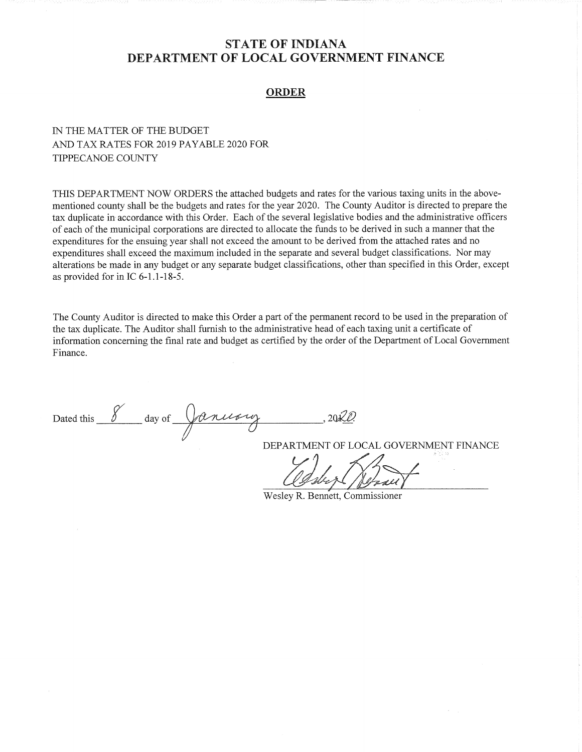### **ORDER**

### IN THE MATTER OF THE BUDGET AND TAX RATES FOR 2019 PAYABLE 2020 FOR TIPPECANOE COUNTY

THIS DEPARTMENT NOW ORDERS the attached budgets and rates for the various taxing units in the abovementioned county shall be the budgets and rates for the year 2020. The County Auditor is directed to prepare the tax duplicate in accordance with this Order. Each of the several legislative bodies and the administrative officers of each of the municipal corporations are directed to allocate the funds to be derived in such a manner that the expenditures for the ensuing year shall not exceed the amount to be derived from the attached rates and no expenditures shall exceed the maximum included in the separate and several budget classifications. Nor may alterations be made in any budget or any separate budget classifications, other than specified in this Order, except as provided for in IC 6-1.1-18-5.

The County Auditor is directed to make this Order a part of the permanent record to be used in the preparation of the tax duplicate. The Auditor shall furnish to the administrative head of each taxing unit a certificate of information concerning the final rate and budget as certified by the order of the Department of Local Government Finance.

Dated this 8 day of January

DEPARTMENT OF LOCAL GOVERNMENT FINANCE

Wesley R. Bennett, Commissioner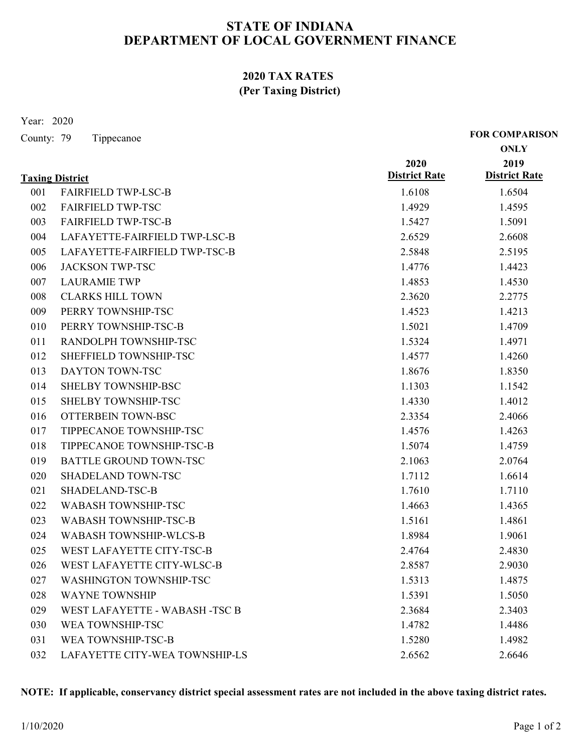### 2020 TAX RATES (Per Taxing District)

|                          | 2020 TAX RATES<br>(Per Taxing District)                |                              |                                      |
|--------------------------|--------------------------------------------------------|------------------------------|--------------------------------------|
| Year: 2020<br>County: 79 | Tippecanoe                                             |                              | <b>FOR COMPARISON</b><br><b>ONLY</b> |
|                          |                                                        | 2020<br><b>District Rate</b> | 2019                                 |
|                          | <b>Taxing District</b>                                 |                              | <b>District Rate</b>                 |
| 001<br>002               | <b>FAIRFIELD TWP-LSC-B</b><br><b>FAIRFIELD TWP-TSC</b> | 1.6108<br>1.4929             | 1.6504<br>1.4595                     |
| 003                      | <b>FAIRFIELD TWP-TSC-B</b>                             | 1.5427                       | 1.5091                               |
| 004                      | LAFAYETTE-FAIRFIELD TWP-LSC-B                          | 2.6529                       | 2.6608                               |
| 005                      | LAFAYETTE-FAIRFIELD TWP-TSC-B                          | 2.5848                       | 2.5195                               |
| 006                      | <b>JACKSON TWP-TSC</b>                                 | 1.4776                       | 1.4423                               |
| 007                      | <b>LAURAMIE TWP</b>                                    | 1.4853                       | 1.4530                               |
| 008                      | <b>CLARKS HILL TOWN</b>                                | 2.3620                       | 2.2775                               |
| 009                      | PERRY TOWNSHIP-TSC                                     | 1.4523                       | 1.4213                               |
| 010                      | PERRY TOWNSHIP-TSC-B                                   | 1.5021                       | 1.4709                               |
|                          | RANDOLPH TOWNSHIP-TSC                                  | 1.5324                       | 1.4971                               |
| 011<br>012               | SHEFFIELD TOWNSHIP-TSC                                 | 1.4577                       | 1.4260                               |
| 013                      | DAYTON TOWN-TSC                                        | 1.8676                       |                                      |
|                          | SHELBY TOWNSHIP-BSC                                    | 1.1303                       | 1.8350                               |
| 014                      |                                                        |                              | 1.1542                               |
| 015                      | SHELBY TOWNSHIP-TSC                                    | 1.4330                       | 1.4012                               |
| 016                      | OTTERBEIN TOWN-BSC                                     | 2.3354                       | 2.4066                               |
| 017                      | TIPPECANOE TOWNSHIP-TSC                                | 1.4576                       | 1.4263                               |
| 018                      | TIPPECANOE TOWNSHIP-TSC-B                              | 1.5074                       | 1.4759                               |
| 019                      | BATTLE GROUND TOWN-TSC                                 | 2.1063                       | 2.0764                               |
| 020                      | SHADELAND TOWN-TSC                                     | 1.7112                       | 1.6614                               |
| 021                      | SHADELAND-TSC-B                                        | 1.7610                       | 1.7110                               |
| 022                      | WABASH TOWNSHIP-TSC                                    | 1.4663                       | 1.4365                               |
| 023                      | WABASH TOWNSHIP-TSC-B                                  | 1.5161                       | 1.4861                               |
| 024                      | WABASH TOWNSHIP-WLCS-B                                 | 1.8984                       | 1.9061                               |
| 025                      | WEST LAFAYETTE CITY-TSC-B                              | 2.4764                       | 2.4830                               |
| 026                      | WEST LAFAYETTE CITY-WLSC-B                             | 2.8587                       | 2.9030                               |
| 027                      | WASHINGTON TOWNSHIP-TSC                                | 1.5313                       | 1.4875                               |
| 028                      | <b>WAYNE TOWNSHIP</b>                                  | 1.5391                       | 1.5050                               |
| 029                      | WEST LAFAYETTE - WABASH -TSC B                         | 2.3684                       | 2.3403                               |
| 030                      | WEA TOWNSHIP-TSC                                       | 1.4782                       | 1.4486                               |
| 031                      | WEA TOWNSHIP-TSC-B                                     | 1.5280                       | 1.4982                               |
| 032                      | LAFAYETTE CITY-WEA TOWNSHIP-LS                         | 2.6562                       | 2.6646                               |

### NOTE: If applicable, conservancy district special assessment rates are not included in the above taxing district rates.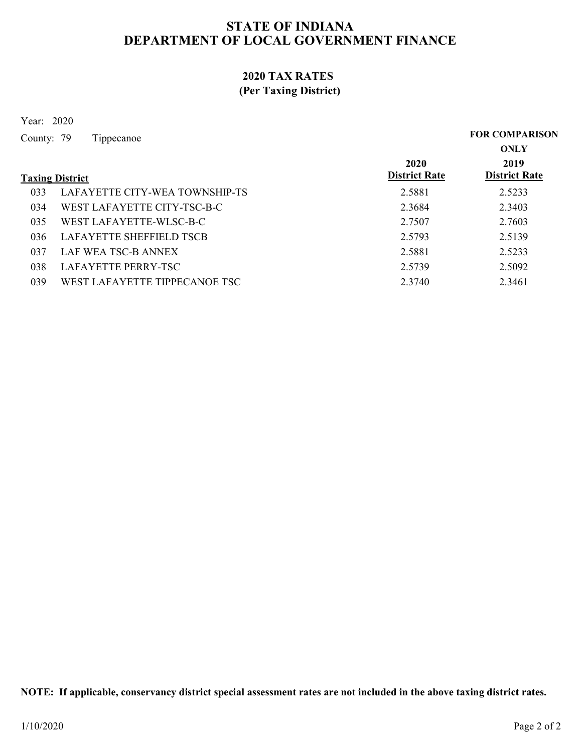### 2020 TAX RATES (Per Taxing District)

| 2020 TAX RATES                        |                              |                                      |
|---------------------------------------|------------------------------|--------------------------------------|
| (Per Taxing District)                 |                              |                                      |
| Year: 2020                            |                              |                                      |
| County: 79<br>Tippecanoe              |                              | <b>FOR COMPARISON</b><br><b>ONLY</b> |
| <b>Taxing District</b>                | 2020<br><b>District Rate</b> | 2019<br><b>District Rate</b>         |
| LAFAYETTE CITY-WEA TOWNSHIP-TS<br>033 | 2.5881                       | 2.5233                               |
| WEST LAFAYETTE CITY-TSC-B-C<br>034    | 2.3684                       | 2.3403                               |
| WEST LAFAYETTE-WLSC-B-C<br>035        | 2.7507                       | 2.7603                               |
| LAFAYETTE SHEFFIELD TSCB<br>036       | 2.5793                       | 2.5139                               |
| LAF WEA TSC-B ANNEX<br>037            | 2.5881                       | 2.5233                               |
| LAFAYETTE PERRY-TSC<br>038            | 2.5739                       | 2.5092                               |
| WEST LAFAYETTE TIPPECANOE TSC<br>039  | 2.3740                       | 2.3461                               |

NOTE: If applicable, conservancy district special assessment rates are not included in the above taxing district rates.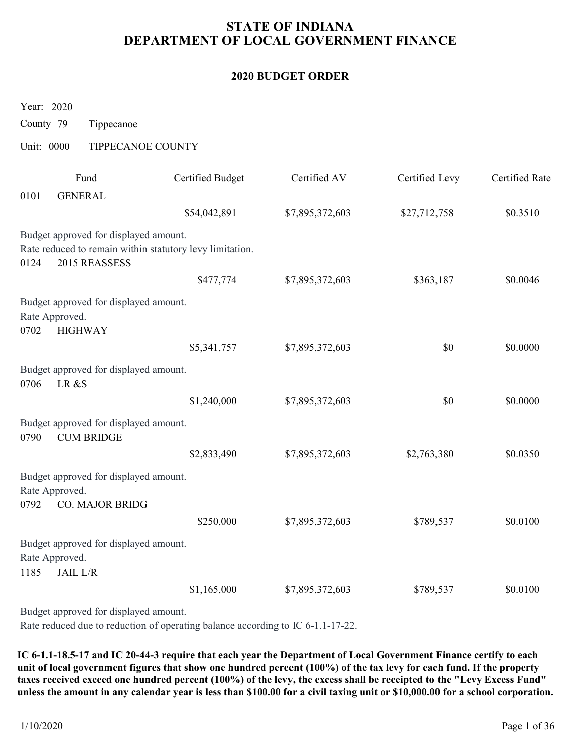# STATE OF INDIANA DEPARTMENT OF LOCAL GOVERNMENT FINANCE STATE OF INDIANA<br>
DEPARTMENT OF LOCAL GOVERNMENT I<br>
2020 BUDGET ORDER<br>
Year: 2020<br>
County 79 Tippecanoe<br>
Unit: 0000 TIPPECANOE COUNTY<br>
<u>Fund</u> Certified Budget Certified AV</u>

### 2020 BUDGET ORDER

|                         |                                                                            |                                                          | <b>2020 BUDGET ORDER</b> |                |                       |
|-------------------------|----------------------------------------------------------------------------|----------------------------------------------------------|--------------------------|----------------|-----------------------|
| Year: 2020              |                                                                            |                                                          |                          |                |                       |
| County 79<br>Unit: 0000 | Tippecanoe                                                                 | TIPPECANOE COUNTY                                        |                          |                |                       |
|                         |                                                                            |                                                          |                          |                |                       |
| 0101                    | Fund<br><b>GENERAL</b>                                                     | <b>Certified Budget</b>                                  | Certified AV             | Certified Levy | <b>Certified Rate</b> |
|                         |                                                                            | \$54,042,891                                             | \$7,895,372,603          | \$27,712,758   | \$0.3510              |
| 0124                    | Budget approved for displayed amount.<br>2015 REASSESS                     | Rate reduced to remain within statutory levy limitation. |                          |                |                       |
|                         |                                                                            | \$477,774                                                | \$7,895,372,603          | \$363,187      | \$0.0046              |
| 0702                    | Budget approved for displayed amount.<br>Rate Approved.<br><b>HIGHWAY</b>  |                                                          |                          |                |                       |
|                         |                                                                            | \$5,341,757                                              | \$7,895,372,603          | $\$0$          | \$0.0000              |
| 0706                    | Budget approved for displayed amount.<br>LR &S                             |                                                          |                          |                |                       |
|                         |                                                                            | \$1,240,000                                              | \$7,895,372,603          | \$0            | \$0.0000              |
| 0790                    | Budget approved for displayed amount.<br><b>CUM BRIDGE</b>                 |                                                          |                          |                |                       |
|                         |                                                                            | \$2,833,490                                              | \$7,895,372,603          | \$2,763,380    | \$0.0350              |
| 0792                    | Budget approved for displayed amount.<br>Rate Approved.<br>CO. MAJOR BRIDG |                                                          |                          |                |                       |
|                         |                                                                            | \$250,000                                                | \$7,895,372,603          | \$789,537      | \$0.0100              |
| 1185                    | Budget approved for displayed amount.<br>Rate Approved.<br><b>JAIL L/R</b> |                                                          |                          |                |                       |
|                         |                                                                            | \$1,165,000                                              | \$7,895,372,603          | \$789,537      | \$0.0100              |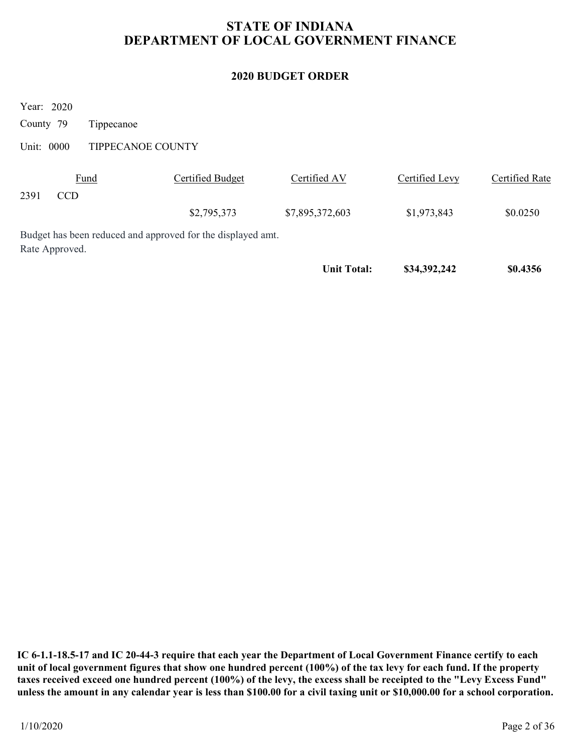# STATE OF INDIANA DEPARTMENT OF LOCAL GOVERNMENT FINANCE STATE OF INDIANA<br>
DEPARTMENT OF LOCAL GOVERNMENT I<br>
2020 BUDGET ORDER<br>
Year: 2020<br>
County 79 Tippecanoe<br>
Unit: 0000 TIPPECANOE COUNTY<br>
<u>Fund</u> Certified Budget Certified AV</u>

### 2020 BUDGET ORDER

|                                                                               |                         | <b>STATE OF INDIANA</b><br>DEPARTMENT OF LOCAL GOVERNMENT FINANCE |                |                       |
|-------------------------------------------------------------------------------|-------------------------|-------------------------------------------------------------------|----------------|-----------------------|
|                                                                               |                         | <b>2020 BUDGET ORDER</b>                                          |                |                       |
| Year: 2020<br>County 79<br>Tippecanoe<br>Unit: 0000<br>TIPPECANOE COUNTY      |                         |                                                                   |                |                       |
| Fund<br>2391<br><b>CCD</b>                                                    | <b>Certified Budget</b> | Certified AV                                                      | Certified Levy | <b>Certified Rate</b> |
|                                                                               | \$2,795,373             | \$7,895,372,603                                                   | \$1,973,843    | \$0.0250              |
| Budget has been reduced and approved for the displayed amt.<br>Rate Approved. |                         |                                                                   |                |                       |
|                                                                               |                         | <b>Unit Total:</b>                                                | \$34,392,242   | \$0.4356              |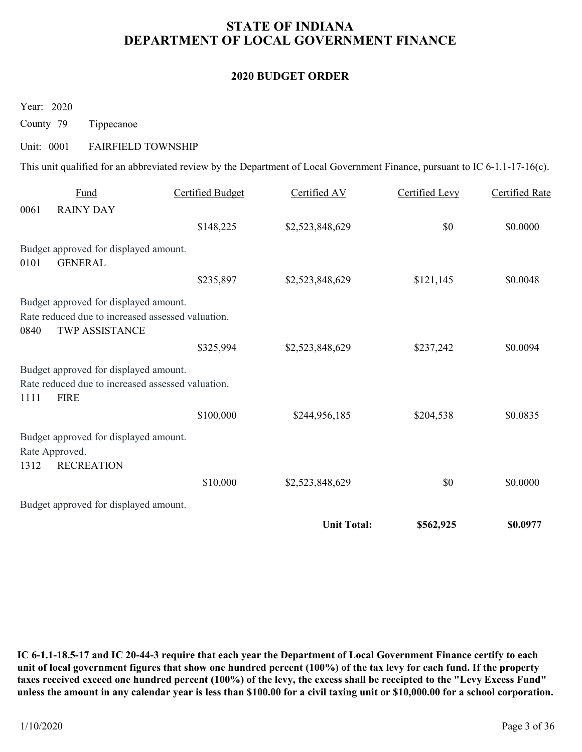# STATE OF INDIANA DEPARTMENT OF LOCAL GOVERNMENT FINANCE STATE OF INDIANA<br>
DEPARTMENT OF LOCAL GOVERNMENT I<br>
2020 BUDGET ORDER<br>
County 79 Tippecanoe<br>
Unit: 0001 FAIRFIELD TOWNSHIP<br>
This unit qualified for an abbreviated review by the Department of Local Government Fini

### 2020 BUDGET ORDER

|                                                                                      |                                                                                                                             | <b>2020 BUDGET ORDER</b> |                |                       |
|--------------------------------------------------------------------------------------|-----------------------------------------------------------------------------------------------------------------------------|--------------------------|----------------|-----------------------|
| Year: 2020                                                                           |                                                                                                                             |                          |                |                       |
| County 79<br>Tippecanoe                                                              |                                                                                                                             |                          |                |                       |
| Unit: 0001                                                                           | <b>FAIRFIELD TOWNSHIP</b>                                                                                                   |                          |                |                       |
|                                                                                      | This unit qualified for an abbreviated review by the Department of Local Government Finance, pursuant to IC 6-1.1-17-16(c). |                          |                |                       |
| Fund<br>0061<br><b>RAINY DAY</b>                                                     | <b>Certified Budget</b>                                                                                                     | Certified AV             | Certified Levy | <b>Certified Rate</b> |
|                                                                                      | \$148,225                                                                                                                   | \$2,523,848,629          | $\$0$          | \$0.0000              |
| Budget approved for displayed amount.<br><b>GENERAL</b><br>0101                      |                                                                                                                             |                          |                |                       |
|                                                                                      | \$235,897                                                                                                                   | \$2,523,848,629          | \$121,145      | \$0.0048              |
| Budget approved for displayed amount.<br>0840<br>TWP ASSISTANCE                      | Rate reduced due to increased assessed valuation.                                                                           |                          |                |                       |
|                                                                                      | \$325,994                                                                                                                   | \$2,523,848,629          | \$237,242      | \$0.0094              |
| Budget approved for displayed amount.<br><b>FIRE</b><br>1111                         | Rate reduced due to increased assessed valuation.                                                                           |                          |                |                       |
|                                                                                      | \$100,000                                                                                                                   | \$244,956,185            | \$204,538      | \$0.0835              |
|                                                                                      |                                                                                                                             |                          |                |                       |
| Budget approved for displayed amount.<br>Rate Approved.<br><b>RECREATION</b><br>1312 |                                                                                                                             |                          |                |                       |
|                                                                                      | \$10,000                                                                                                                    | \$2,523,848,629          | $\$0$          | \$0.0000              |
| Budget approved for displayed amount.                                                |                                                                                                                             |                          |                |                       |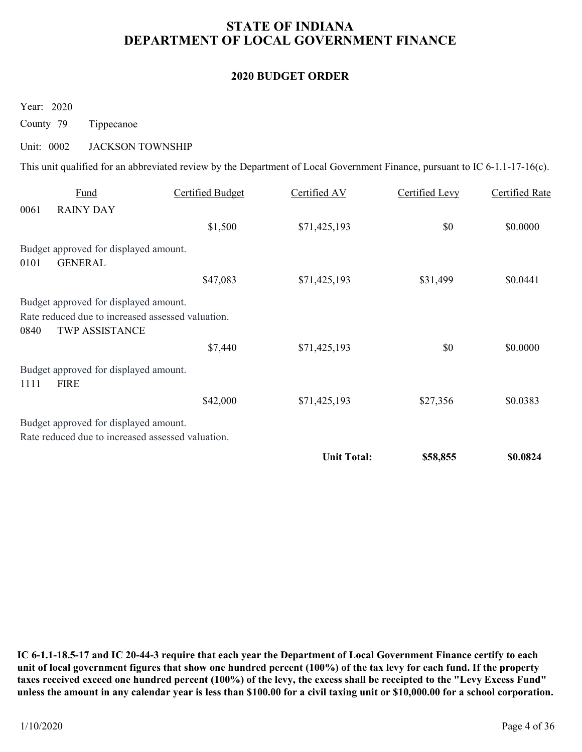# STATE OF INDIANA DEPARTMENT OF LOCAL GOVERNMENT FINANCE STATE OF INDIANA<br>
DEPARTMENT OF LOCAL GOVERNMENT I<br>
2020 BUDGET ORDER<br>
Year: 2020<br>
County 79 Tippecanoe<br>
Unit: 0002 JACKSON TOWNSHIP<br>
This unit qualified for an abbreviated review by the Department of Local Government Fini

### 2020 BUDGET ORDER

|                         |                                                                                                              |                         |                                                                                                                             | DEPARTMENT OF LOCAL GOVERNMENT FINANCE |                       |
|-------------------------|--------------------------------------------------------------------------------------------------------------|-------------------------|-----------------------------------------------------------------------------------------------------------------------------|----------------------------------------|-----------------------|
|                         |                                                                                                              |                         | <b>2020 BUDGET ORDER</b>                                                                                                    |                                        |                       |
| Year: 2020<br>County 79 | Tippecanoe                                                                                                   |                         |                                                                                                                             |                                        |                       |
| Unit: 0002              | <b>JACKSON TOWNSHIP</b>                                                                                      |                         |                                                                                                                             |                                        |                       |
|                         |                                                                                                              |                         | This unit qualified for an abbreviated review by the Department of Local Government Finance, pursuant to IC 6-1.1-17-16(c). |                                        |                       |
| 0061                    | Fund<br><b>RAINY DAY</b>                                                                                     | <b>Certified Budget</b> | Certified AV                                                                                                                | <b>Certified Levy</b>                  | <b>Certified Rate</b> |
|                         |                                                                                                              | \$1,500                 | \$71,425,193                                                                                                                | \$0                                    | \$0.0000              |
| 0101                    | Budget approved for displayed amount.<br><b>GENERAL</b>                                                      |                         |                                                                                                                             |                                        |                       |
|                         |                                                                                                              | \$47,083                | \$71,425,193                                                                                                                | \$31,499                               | \$0.0441              |
| 0840                    | Budget approved for displayed amount.<br>Rate reduced due to increased assessed valuation.<br>TWP ASSISTANCE |                         |                                                                                                                             |                                        |                       |
|                         |                                                                                                              | \$7,440                 | \$71,425,193                                                                                                                | $\$0$                                  | \$0.0000              |
| 1111                    | Budget approved for displayed amount.<br><b>FIRE</b>                                                         |                         |                                                                                                                             |                                        |                       |
|                         |                                                                                                              | \$42,000                | \$71,425,193                                                                                                                | \$27,356                               | \$0.0383              |
|                         |                                                                                                              |                         |                                                                                                                             |                                        |                       |
|                         | Budget approved for displayed amount.<br>Rate reduced due to increased assessed valuation.                   |                         |                                                                                                                             |                                        |                       |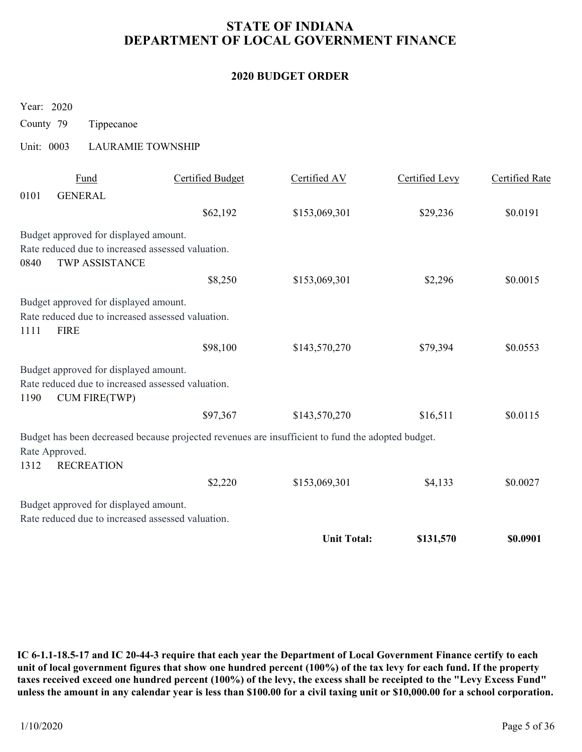# STATE OF INDIANA DEPARTMENT OF LOCAL GOVERNMENT FINANCE STATE OF INDIANA<br>
DEPARTMENT OF LOCAL GOVERNMENT I<br>
2020 BUDGET ORDER<br>
Year: 2020<br>
County 79 Tippecanoe<br>
Unit: 0003 LAURAMIE TOWNSHIP<br>
<u>Fund</u> Certified Budget Certified AV</u>

### 2020 BUDGET ORDER

|                        |                                                                                                                    |                         | <b>STATE OF INDIANA</b><br>DEPARTMENT OF LOCAL GOVERNMENT FINANCE                                 |                |                       |
|------------------------|--------------------------------------------------------------------------------------------------------------------|-------------------------|---------------------------------------------------------------------------------------------------|----------------|-----------------------|
|                        |                                                                                                                    |                         | <b>2020 BUDGET ORDER</b>                                                                          |                |                       |
| Year: 2020             |                                                                                                                    |                         |                                                                                                   |                |                       |
| County 79              | Tippecanoe                                                                                                         |                         |                                                                                                   |                |                       |
| Unit: 0003             | <b>LAURAMIE TOWNSHIP</b>                                                                                           |                         |                                                                                                   |                |                       |
| 0101                   | Fund<br><b>GENERAL</b>                                                                                             | <b>Certified Budget</b> | Certified AV                                                                                      | Certified Levy | <b>Certified Rate</b> |
|                        |                                                                                                                    | \$62,192                | \$153,069,301                                                                                     | \$29,236       | \$0.0191              |
| 0840                   | Budget approved for displayed amount.<br>Rate reduced due to increased assessed valuation.<br>TWP ASSISTANCE       |                         |                                                                                                   |                |                       |
|                        |                                                                                                                    | \$8,250                 | \$153,069,301                                                                                     | \$2,296        | \$0.0015              |
| 1111<br><b>FIRE</b>    | Budget approved for displayed amount.<br>Rate reduced due to increased assessed valuation.                         |                         |                                                                                                   |                |                       |
|                        |                                                                                                                    | \$98,100                | \$143,570,270                                                                                     | \$79,394       | \$0.0553              |
| 1190                   | Budget approved for displayed amount.<br>Rate reduced due to increased assessed valuation.<br><b>CUM FIRE(TWP)</b> |                         |                                                                                                   |                |                       |
|                        |                                                                                                                    | \$97,367                | \$143,570,270                                                                                     | \$16,511       | \$0.0115              |
| Rate Approved.<br>1312 | <b>RECREATION</b>                                                                                                  |                         | Budget has been decreased because projected revenues are insufficient to fund the adopted budget. |                |                       |
|                        |                                                                                                                    | \$2,220                 | \$153,069,301                                                                                     | \$4,133        | \$0.0027              |
|                        | Budget approved for displayed amount.                                                                              |                         |                                                                                                   |                |                       |
|                        | Rate reduced due to increased assessed valuation.                                                                  |                         |                                                                                                   |                |                       |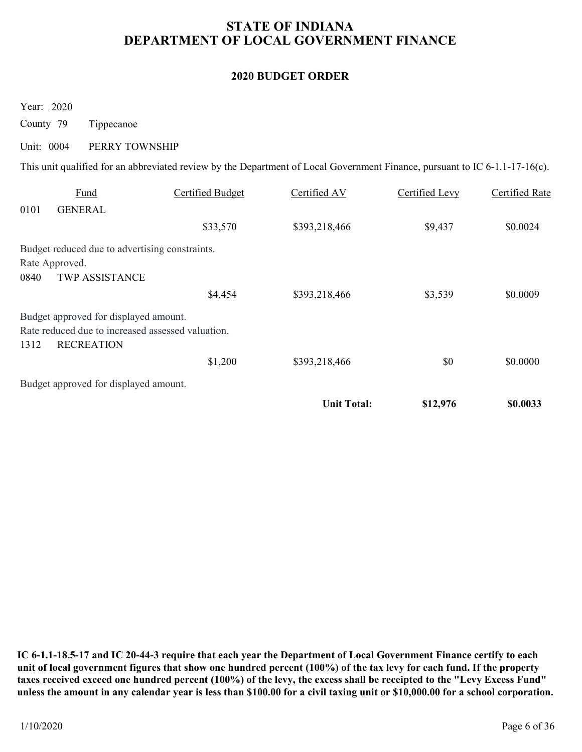# STATE OF INDIANA DEPARTMENT OF LOCAL GOVERNMENT FINANCE STATE OF INDIANA<br>
DEPARTMENT OF LOCAL GOVERNMENT I<br>
2020 BUDGET ORDER<br>
County 79 Tippecanoe<br>
Unit: 0004 PERRY TOWNSHIP<br>
This unit qualified for an abbreviated review by the Department of Local Government Fini

### 2020 BUDGET ORDER

|                                                                                                                                                             |                         | <b>STATE OF INDIANA</b><br>DEPARTMENT OF LOCAL GOVERNMENT FINANCE |                |                       |
|-------------------------------------------------------------------------------------------------------------------------------------------------------------|-------------------------|-------------------------------------------------------------------|----------------|-----------------------|
|                                                                                                                                                             |                         | <b>2020 BUDGET ORDER</b>                                          |                |                       |
| Year: 2020<br>County 79<br>Tippecanoe                                                                                                                       |                         |                                                                   |                |                       |
| Unit: 0004<br>PERRY TOWNSHIP<br>This unit qualified for an abbreviated review by the Department of Local Government Finance, pursuant to IC 6-1.1-17-16(c). |                         |                                                                   |                |                       |
| Fund                                                                                                                                                        | <b>Certified Budget</b> | Certified AV                                                      | Certified Levy | <b>Certified Rate</b> |
| 0101<br><b>GENERAL</b>                                                                                                                                      | \$33,570                | \$393,218,466                                                     | \$9,437        | \$0.0024              |
| Budget reduced due to advertising constraints.<br>Rate Approved.<br><b>TWP ASSISTANCE</b><br>0840                                                           |                         |                                                                   |                |                       |
|                                                                                                                                                             | \$4,454                 | \$393,218,466                                                     | \$3,539        | \$0.0009              |
| Budget approved for displayed amount.<br>Rate reduced due to increased assessed valuation.<br><b>RECREATION</b><br>1312                                     |                         |                                                                   |                |                       |
|                                                                                                                                                             | \$1,200                 | \$393,218,466                                                     | $\$0$          | \$0.0000              |
| Budget approved for displayed amount.                                                                                                                       |                         |                                                                   |                |                       |
|                                                                                                                                                             |                         | <b>Unit Total:</b>                                                | \$12,976       | \$0.0033              |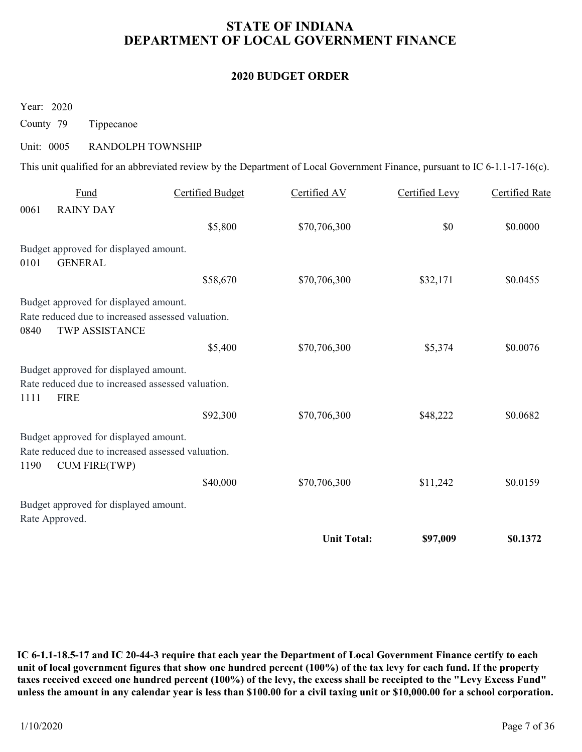# STATE OF INDIANA DEPARTMENT OF LOCAL GOVERNMENT FINANCE STATE OF INDIANA<br>
DEPARTMENT OF LOCAL GOVERNMENT I<br>
2020 BUDGET ORDER<br>
County 79 Tippecanoe<br>
Unit: 0005 RANDOLPH TOWNSHIP<br>
This unit qualified for an abbreviated review by the Department of Local Government Fini

### 2020 BUDGET ORDER

|            |                                                                                                                    | DEPARTMENT OF LOCAL GOVERNMENT FINANCE                                                                                      | <b>STATE OF INDIANA</b>  |                       |                       |
|------------|--------------------------------------------------------------------------------------------------------------------|-----------------------------------------------------------------------------------------------------------------------------|--------------------------|-----------------------|-----------------------|
|            |                                                                                                                    |                                                                                                                             | <b>2020 BUDGET ORDER</b> |                       |                       |
|            | Year: 2020                                                                                                         |                                                                                                                             |                          |                       |                       |
| County 79  | Tippecanoe                                                                                                         |                                                                                                                             |                          |                       |                       |
| Unit: 0005 | RANDOLPH TOWNSHIP                                                                                                  | This unit qualified for an abbreviated review by the Department of Local Government Finance, pursuant to IC 6-1.1-17-16(c). |                          |                       |                       |
|            | <b>Fund</b>                                                                                                        | <b>Certified Budget</b>                                                                                                     | Certified AV             | <b>Certified Levy</b> | <b>Certified Rate</b> |
| 0061       | <b>RAINY DAY</b>                                                                                                   |                                                                                                                             |                          |                       |                       |
|            |                                                                                                                    | \$5,800                                                                                                                     | \$70,706,300             | $\$0$                 | \$0.0000              |
| 0101       | Budget approved for displayed amount.<br><b>GENERAL</b>                                                            |                                                                                                                             |                          |                       |                       |
|            |                                                                                                                    | \$58,670                                                                                                                    | \$70,706,300             | \$32,171              | \$0.0455              |
| 0840       | Budget approved for displayed amount.<br>Rate reduced due to increased assessed valuation.<br>TWP ASSISTANCE       |                                                                                                                             |                          |                       |                       |
|            |                                                                                                                    | \$5,400                                                                                                                     | \$70,706,300             | \$5,374               | \$0.0076              |
| 1111       | Budget approved for displayed amount.<br>Rate reduced due to increased assessed valuation.<br><b>FIRE</b>          |                                                                                                                             |                          |                       |                       |
|            |                                                                                                                    | \$92,300                                                                                                                    | \$70,706,300             | \$48,222              | \$0.0682              |
| 1190       | Budget approved for displayed amount.<br>Rate reduced due to increased assessed valuation.<br><b>CUM FIRE(TWP)</b> |                                                                                                                             |                          |                       |                       |
|            |                                                                                                                    | \$40,000                                                                                                                    | \$70,706,300             | \$11,242              | \$0.0159              |
|            | Budget approved for displayed amount.<br>Rate Approved.                                                            |                                                                                                                             |                          |                       |                       |
|            |                                                                                                                    |                                                                                                                             | <b>Unit Total:</b>       | \$97,009              | \$0.1372              |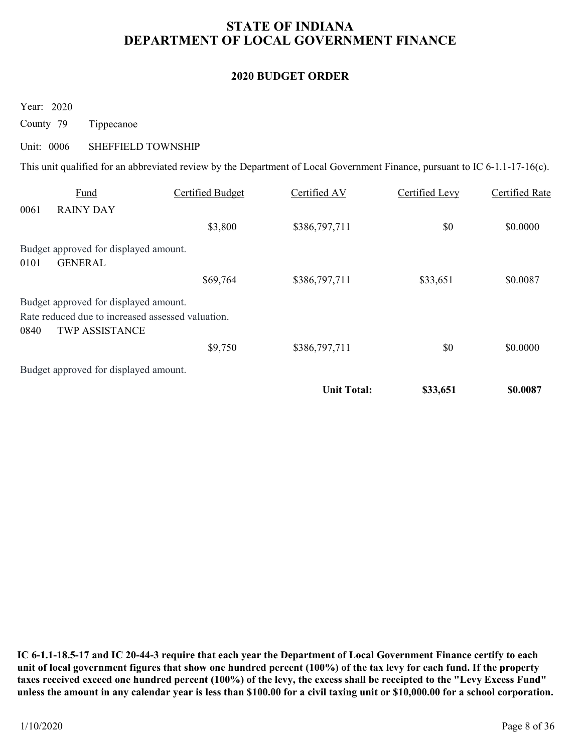# STATE OF INDIANA DEPARTMENT OF LOCAL GOVERNMENT FINANCE STATE OF INDIANA<br>
DEPARTMENT OF LOCAL GOVERNMENT I<br>
2020 BUDGET ORDER<br>
County 79 Tippecanoe<br>
Unit: 0006 SHEFFIELD TOWNSHIP<br>
This unit qualified for an abbreviated review by the Department of Local Government Fini

### 2020 BUDGET ORDER

|                                                                                                                             |                         | DEPARTMENT OF LOCAL GOVERNMENT FINANCE |                       |                       |
|-----------------------------------------------------------------------------------------------------------------------------|-------------------------|----------------------------------------|-----------------------|-----------------------|
|                                                                                                                             |                         | <b>2020 BUDGET ORDER</b>               |                       |                       |
|                                                                                                                             |                         |                                        |                       |                       |
| Year: 2020<br>County 79<br>Tippecanoe                                                                                       |                         |                                        |                       |                       |
| <b>SHEFFIELD TOWNSHIP</b><br>Unit: 0006                                                                                     |                         |                                        |                       |                       |
| This unit qualified for an abbreviated review by the Department of Local Government Finance, pursuant to IC 6-1.1-17-16(c). |                         |                                        |                       |                       |
|                                                                                                                             |                         |                                        |                       |                       |
| Fund                                                                                                                        | <b>Certified Budget</b> | Certified AV                           | <b>Certified Levy</b> | <b>Certified Rate</b> |
| 0061<br><b>RAINY DAY</b>                                                                                                    | \$3,800                 | \$386,797,711                          | \$0                   | \$0.0000              |
|                                                                                                                             |                         |                                        |                       |                       |
| Budget approved for displayed amount.                                                                                       |                         |                                        |                       |                       |
|                                                                                                                             |                         |                                        |                       |                       |
| <b>GENERAL</b><br>0101                                                                                                      | \$69,764                | \$386,797,711                          | \$33,651              | \$0.0087              |
| Budget approved for displayed amount.<br>Rate reduced due to increased assessed valuation.                                  |                         |                                        |                       |                       |
| 0840<br>TWP ASSISTANCE                                                                                                      | \$9,750                 | \$386,797,711                          | \$0                   | \$0.0000              |
| Budget approved for displayed amount.                                                                                       |                         |                                        |                       |                       |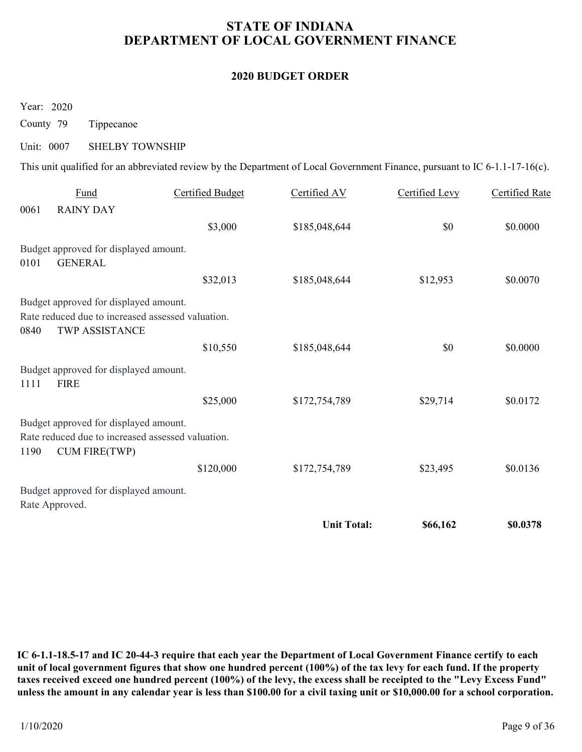# STATE OF INDIANA DEPARTMENT OF LOCAL GOVERNMENT FINANCE STATE OF INDIANA<br>
DEPARTMENT OF LOCAL GOVERNMENT I<br>
2020 BUDGET ORDER<br>
County 79 Tippecanoe<br>
Unit: 0007 SHELBY TOWNSHIP<br>
This unit qualified for an abbreviated review by the Department of Local Government Fini

### 2020 BUDGET ORDER

|            |                                                                                                              |                                                                                                                             | <b>2020 BUDGET ORDER</b> |                       |                       |
|------------|--------------------------------------------------------------------------------------------------------------|-----------------------------------------------------------------------------------------------------------------------------|--------------------------|-----------------------|-----------------------|
| Year: 2020 |                                                                                                              |                                                                                                                             |                          |                       |                       |
| County 79  | Tippecanoe                                                                                                   |                                                                                                                             |                          |                       |                       |
| Unit: 0007 | <b>SHELBY TOWNSHIP</b>                                                                                       |                                                                                                                             |                          |                       |                       |
|            |                                                                                                              | This unit qualified for an abbreviated review by the Department of Local Government Finance, pursuant to IC 6-1.1-17-16(c). |                          |                       |                       |
| 0061       | <b>Fund</b><br><b>RAINY DAY</b>                                                                              | <b>Certified Budget</b>                                                                                                     | Certified AV             | <b>Certified Levy</b> | <b>Certified Rate</b> |
|            |                                                                                                              | \$3,000                                                                                                                     | \$185,048,644            | $\$0$                 | \$0.0000              |
| 0101       | Budget approved for displayed amount.<br><b>GENERAL</b>                                                      |                                                                                                                             |                          |                       |                       |
|            |                                                                                                              | \$32,013                                                                                                                    | \$185,048,644            | \$12,953              | \$0.0070              |
| 0840       | Budget approved for displayed amount.<br>Rate reduced due to increased assessed valuation.<br>TWP ASSISTANCE |                                                                                                                             |                          |                       |                       |
|            |                                                                                                              | \$10,550                                                                                                                    | \$185,048,644            | \$0                   | \$0.0000              |
| 1111       | Budget approved for displayed amount.<br><b>FIRE</b>                                                         |                                                                                                                             |                          |                       |                       |
|            |                                                                                                              | \$25,000                                                                                                                    | \$172,754,789            | \$29,714              | \$0.0172              |
|            | Budget approved for displayed amount.                                                                        | Rate reduced due to increased assessed valuation.                                                                           |                          |                       |                       |
| 1190       | <b>CUM FIRE(TWP)</b>                                                                                         |                                                                                                                             |                          |                       |                       |
|            |                                                                                                              | \$120,000                                                                                                                   | \$172,754,789            | \$23,495              | \$0.0136              |
|            | Budget approved for displayed amount.<br>Rate Approved.                                                      |                                                                                                                             |                          |                       |                       |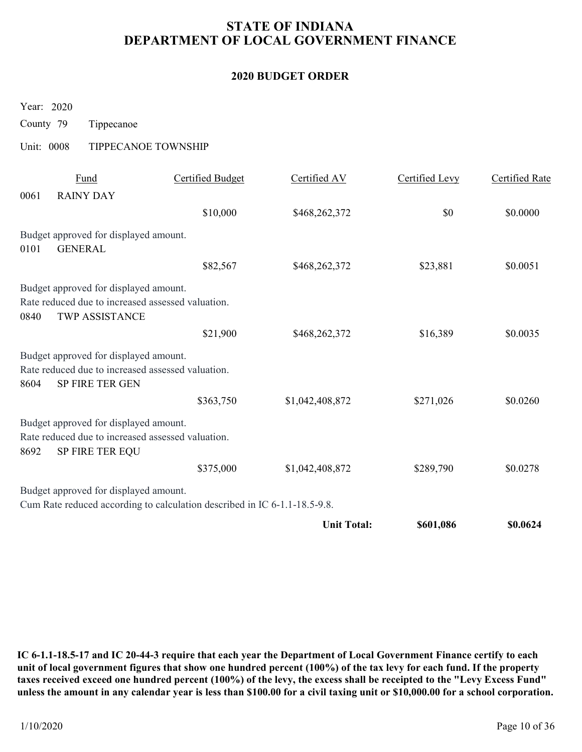# STATE OF INDIANA DEPARTMENT OF LOCAL GOVERNMENT FINANCE STATE OF INDIANA<br>
DEPARTMENT OF LOCAL GOVERNMENT I<br>
2020 BUDGET ORDER<br>
Year: 2020<br>
County 79 Tippecanoe<br>
Unit: 0008 TIPPECANOE TOWNSHIP<br>
<u>Fund</u> Certified Budget Certified AV</u>

### 2020 BUDGET ORDER

| <b>2020 BUDGET ORDER</b><br>Year: 2020<br>County 79<br>Tippecanoe<br>Unit: 0008<br>TIPPECANOE TOWNSHIP<br>Certified Levy<br><b>Fund</b><br><b>Certified Budget</b><br>Certified AV<br>0061<br><b>RAINY DAY</b><br>\$0<br>\$10,000<br>\$468,262,372<br>Budget approved for displayed amount.<br><b>GENERAL</b><br>0101<br>\$468,262,372<br>\$82,567<br>\$23,881<br>Budget approved for displayed amount.<br>Rate reduced due to increased assessed valuation.<br>TWP ASSISTANCE<br>0840<br>\$16,389<br>\$21,900<br>\$468,262,372<br>Budget approved for displayed amount.<br>Rate reduced due to increased assessed valuation.<br>SP FIRE TER GEN<br>8604 | <b>Certified Rate</b><br>\$0.0000<br>\$0.0051 |
|----------------------------------------------------------------------------------------------------------------------------------------------------------------------------------------------------------------------------------------------------------------------------------------------------------------------------------------------------------------------------------------------------------------------------------------------------------------------------------------------------------------------------------------------------------------------------------------------------------------------------------------------------------|-----------------------------------------------|
|                                                                                                                                                                                                                                                                                                                                                                                                                                                                                                                                                                                                                                                          |                                               |
|                                                                                                                                                                                                                                                                                                                                                                                                                                                                                                                                                                                                                                                          |                                               |
|                                                                                                                                                                                                                                                                                                                                                                                                                                                                                                                                                                                                                                                          |                                               |
|                                                                                                                                                                                                                                                                                                                                                                                                                                                                                                                                                                                                                                                          |                                               |
|                                                                                                                                                                                                                                                                                                                                                                                                                                                                                                                                                                                                                                                          |                                               |
|                                                                                                                                                                                                                                                                                                                                                                                                                                                                                                                                                                                                                                                          |                                               |
|                                                                                                                                                                                                                                                                                                                                                                                                                                                                                                                                                                                                                                                          |                                               |
|                                                                                                                                                                                                                                                                                                                                                                                                                                                                                                                                                                                                                                                          |                                               |
|                                                                                                                                                                                                                                                                                                                                                                                                                                                                                                                                                                                                                                                          |                                               |
|                                                                                                                                                                                                                                                                                                                                                                                                                                                                                                                                                                                                                                                          |                                               |
|                                                                                                                                                                                                                                                                                                                                                                                                                                                                                                                                                                                                                                                          |                                               |
|                                                                                                                                                                                                                                                                                                                                                                                                                                                                                                                                                                                                                                                          |                                               |
|                                                                                                                                                                                                                                                                                                                                                                                                                                                                                                                                                                                                                                                          | \$0.0035                                      |
|                                                                                                                                                                                                                                                                                                                                                                                                                                                                                                                                                                                                                                                          |                                               |
|                                                                                                                                                                                                                                                                                                                                                                                                                                                                                                                                                                                                                                                          |                                               |
| \$363,750<br>\$1,042,408,872<br>\$271,026                                                                                                                                                                                                                                                                                                                                                                                                                                                                                                                                                                                                                | \$0.0260                                      |
| Budget approved for displayed amount.<br>Rate reduced due to increased assessed valuation.<br>SP FIRE TER EQU<br>8692                                                                                                                                                                                                                                                                                                                                                                                                                                                                                                                                    |                                               |
| \$375,000<br>\$1,042,408,872<br>\$289,790                                                                                                                                                                                                                                                                                                                                                                                                                                                                                                                                                                                                                | \$0.0278                                      |
| Budget approved for displayed amount.<br>Cum Rate reduced according to calculation described in IC 6-1.1-18.5-9.8.                                                                                                                                                                                                                                                                                                                                                                                                                                                                                                                                       |                                               |
| <b>Unit Total:</b><br>\$601,086                                                                                                                                                                                                                                                                                                                                                                                                                                                                                                                                                                                                                          | \$0.0624                                      |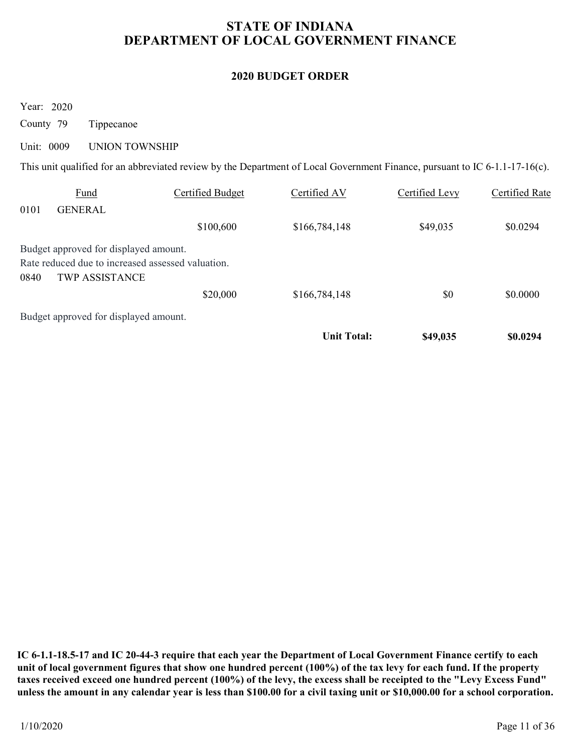# STATE OF INDIANA DEPARTMENT OF LOCAL GOVERNMENT FINANCE STATE OF INDIANA<br>
DEPARTMENT OF LOCAL GOVERNMENT I<br>
2020 BUDGET ORDER<br>
County 79 Tippecanoe<br>
Unit: 0009 UNION TOWNSHIP<br>
This unit qualified for an abbreviated review by the Department of Local Government Fini

### 2020 BUDGET ORDER

|                         | <b>STATE OF INDIANA</b><br>DEPARTMENT OF LOCAL GOVERNMENT FINANCE                                            |                                                                                                                             |                          |                       |                       |  |  |  |
|-------------------------|--------------------------------------------------------------------------------------------------------------|-----------------------------------------------------------------------------------------------------------------------------|--------------------------|-----------------------|-----------------------|--|--|--|
|                         |                                                                                                              |                                                                                                                             | <b>2020 BUDGET ORDER</b> |                       |                       |  |  |  |
| Year: 2020<br>County 79 | Tippecanoe                                                                                                   |                                                                                                                             |                          |                       |                       |  |  |  |
| Unit: 0009              | <b>UNION TOWNSHIP</b>                                                                                        |                                                                                                                             |                          |                       |                       |  |  |  |
|                         |                                                                                                              | This unit qualified for an abbreviated review by the Department of Local Government Finance, pursuant to IC 6-1.1-17-16(c). |                          |                       |                       |  |  |  |
|                         | <b>Fund</b>                                                                                                  | <b>Certified Budget</b>                                                                                                     | Certified AV             | <b>Certified Levy</b> | <b>Certified Rate</b> |  |  |  |
|                         |                                                                                                              |                                                                                                                             |                          |                       |                       |  |  |  |
|                         | <b>GENERAL</b>                                                                                               | \$100,600                                                                                                                   | \$166,784,148            | \$49,035              | \$0.0294              |  |  |  |
| 0101<br>0840            | Budget approved for displayed amount.<br>Rate reduced due to increased assessed valuation.<br>TWP ASSISTANCE |                                                                                                                             |                          |                       |                       |  |  |  |
|                         |                                                                                                              | \$20,000                                                                                                                    | \$166,784,148            | \$0                   | \$0.0000              |  |  |  |
|                         | Budget approved for displayed amount.                                                                        |                                                                                                                             |                          |                       |                       |  |  |  |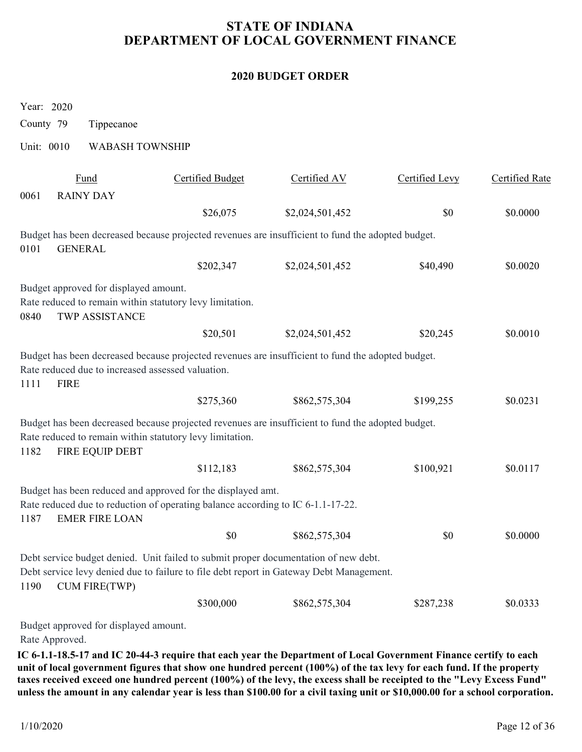# STATE OF INDIANA DEPARTMENT OF LOCAL GOVERNMENT FINANCE STATE OF INDIANA<br>
DEPARTMENT OF LOCAL GOVERNMENT I<br>
2020 BUDGET ORDER<br>
Year: 2020<br>
County 79 Tippecanoe<br>
Unit: 0010 WABASH TOWNSHIP<br>
<u>Fund</u> Certified Budget Certified AV</u>

### 2020 BUDGET ORDER

| <b>2020 BUDGET ORDER</b>                                                                                                                                                                                       |                         |                 |                |                       |  |  |
|----------------------------------------------------------------------------------------------------------------------------------------------------------------------------------------------------------------|-------------------------|-----------------|----------------|-----------------------|--|--|
|                                                                                                                                                                                                                |                         |                 |                |                       |  |  |
| Year: 2020                                                                                                                                                                                                     |                         |                 |                |                       |  |  |
| County 79<br>Tippecanoe<br>Unit: 0010<br><b>WABASH TOWNSHIP</b>                                                                                                                                                |                         |                 |                |                       |  |  |
|                                                                                                                                                                                                                |                         |                 |                |                       |  |  |
| Fund<br>0061<br><b>RAINY DAY</b>                                                                                                                                                                               | <b>Certified Budget</b> | Certified AV    | Certified Levy | <b>Certified Rate</b> |  |  |
|                                                                                                                                                                                                                | \$26,075                | \$2,024,501,452 | \$0            | \$0.0000              |  |  |
| Budget has been decreased because projected revenues are insufficient to fund the adopted budget.<br><b>GENERAL</b><br>0101                                                                                    |                         |                 |                |                       |  |  |
|                                                                                                                                                                                                                | \$202,347               | \$2,024,501,452 | \$40,490       | \$0.0020              |  |  |
| Budget approved for displayed amount.<br>Rate reduced to remain within statutory levy limitation.<br><b>TWP ASSISTANCE</b><br>0840                                                                             |                         |                 |                |                       |  |  |
|                                                                                                                                                                                                                | \$20,501                | \$2,024,501,452 | \$20,245       | \$0.0010              |  |  |
| Budget has been decreased because projected revenues are insufficient to fund the adopted budget.<br>Rate reduced due to increased assessed valuation.<br><b>FIRE</b><br>1111                                  |                         |                 |                |                       |  |  |
|                                                                                                                                                                                                                | \$275,360               | \$862,575,304   | \$199,255      | \$0.0231              |  |  |
| Budget has been decreased because projected revenues are insufficient to fund the adopted budget.<br>Rate reduced to remain within statutory levy limitation.<br>FIRE EQUIP DEBT<br>1182                       |                         |                 |                |                       |  |  |
|                                                                                                                                                                                                                | \$112,183               | \$862,575,304   | \$100,921      | \$0.0117              |  |  |
| Budget has been reduced and approved for the displayed amt.<br>Rate reduced due to reduction of operating balance according to IC 6-1.1-17-22.<br><b>EMER FIRE LOAN</b><br>1187                                |                         |                 |                |                       |  |  |
|                                                                                                                                                                                                                | \$0                     | \$862,575,304   | \$0            | \$0.0000              |  |  |
| Debt service budget denied. Unit failed to submit proper documentation of new debt.<br>Debt service levy denied due to failure to file debt report in Gateway Debt Management.<br><b>CUM FIRE(TWP)</b><br>1190 |                         |                 |                |                       |  |  |
|                                                                                                                                                                                                                | \$300,000               | \$862,575,304   | \$287,238      | \$0.0333              |  |  |
|                                                                                                                                                                                                                |                         |                 |                |                       |  |  |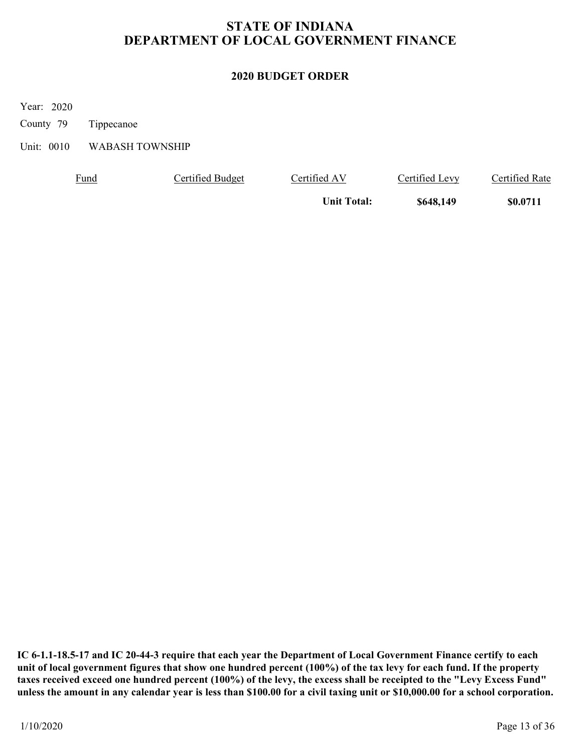# STATE OF INDIANA DEPARTMENT OF LOCAL GOVERNMENT FINANCE STATE OF INDIANA<br>
DEPARTMENT OF LOCAL GOVERNMENT I<br>
2020 BUDGET ORDER<br>
Year: 2020<br>
County 79 Tippecanoe<br>
Unit: 0010 WABASH TOWNSHIP<br>
<u>Fund</u> Certified Budget Certified AV</u>

### 2020 BUDGET ORDER

| DEPARTMENT OF LOCAL GOVERNMENT FINANCE<br><b>2020 BUDGET ORDER</b> |                        |                         |                    |                       |                       |  |  |
|--------------------------------------------------------------------|------------------------|-------------------------|--------------------|-----------------------|-----------------------|--|--|
|                                                                    |                        |                         |                    |                       |                       |  |  |
| Year: 2020<br>County 79                                            | Tippecanoe             |                         |                    |                       |                       |  |  |
| Unit: 0010                                                         | <b>WABASH TOWNSHIP</b> |                         |                    |                       |                       |  |  |
|                                                                    | <b>Fund</b>            | <b>Certified Budget</b> | Certified AV       | <b>Certified Levy</b> | <b>Certified Rate</b> |  |  |
|                                                                    |                        |                         | <b>Unit Total:</b> | \$648,149             | \$0.0711              |  |  |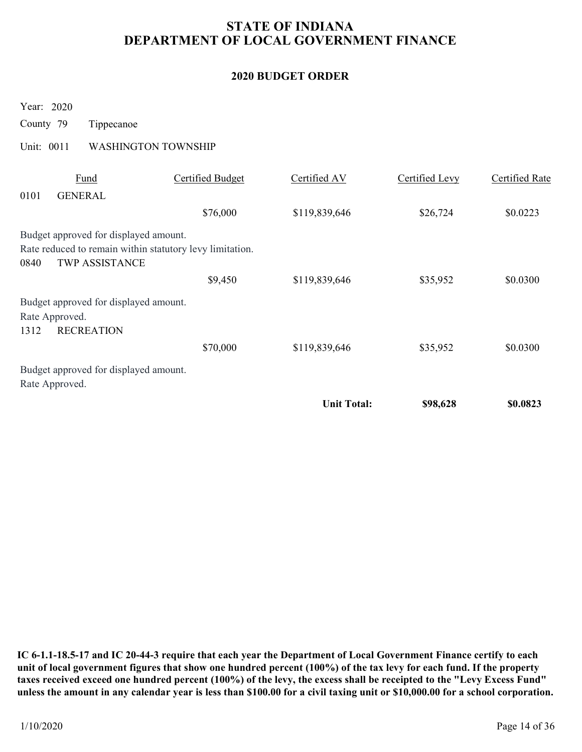# STATE OF INDIANA DEPARTMENT OF LOCAL GOVERNMENT FINANCE STATE OF INDIANA<br>
DEPARTMENT OF LOCAL GOVERNMENT I<br>
2020 BUDGET ORDER<br>
Year: 2020<br>
County 79 Tippecanoe<br>
Unit: 0011 WASHINGTON TOWNSHIP<br>
<u>Fund</u> Certified Budget Certified AV</u>

### 2020 BUDGET ORDER

| <b>STATE OF INDIANA</b><br>DEPARTMENT OF LOCAL GOVERNMENT FINANCE                                                           |                         |                          |                       |                       |  |  |
|-----------------------------------------------------------------------------------------------------------------------------|-------------------------|--------------------------|-----------------------|-----------------------|--|--|
|                                                                                                                             |                         | <b>2020 BUDGET ORDER</b> |                       |                       |  |  |
| Year: 2020<br>County 79<br>Tippecanoe                                                                                       |                         |                          |                       |                       |  |  |
| Unit: 0011<br><b>WASHINGTON TOWNSHIP</b>                                                                                    |                         |                          |                       |                       |  |  |
| Fund<br>0101<br><b>GENERAL</b>                                                                                              | <b>Certified Budget</b> | Certified AV             | <b>Certified Levy</b> | <b>Certified Rate</b> |  |  |
|                                                                                                                             | \$76,000                | \$119,839,646            | \$26,724              | \$0.0223              |  |  |
| Budget approved for displayed amount.<br>Rate reduced to remain within statutory levy limitation.<br>TWP ASSISTANCE<br>0840 |                         |                          |                       |                       |  |  |
|                                                                                                                             | \$9,450                 | \$119,839,646            | \$35,952              | \$0.0300              |  |  |
| Budget approved for displayed amount.<br>Rate Approved.<br>1312<br><b>RECREATION</b>                                        |                         |                          |                       |                       |  |  |
|                                                                                                                             | \$70,000                | \$119,839,646            | \$35,952              | \$0.0300              |  |  |
| Budget approved for displayed amount.<br>Rate Approved.                                                                     |                         |                          |                       |                       |  |  |
|                                                                                                                             |                         | <b>Unit Total:</b>       | \$98,628              | \$0.0823              |  |  |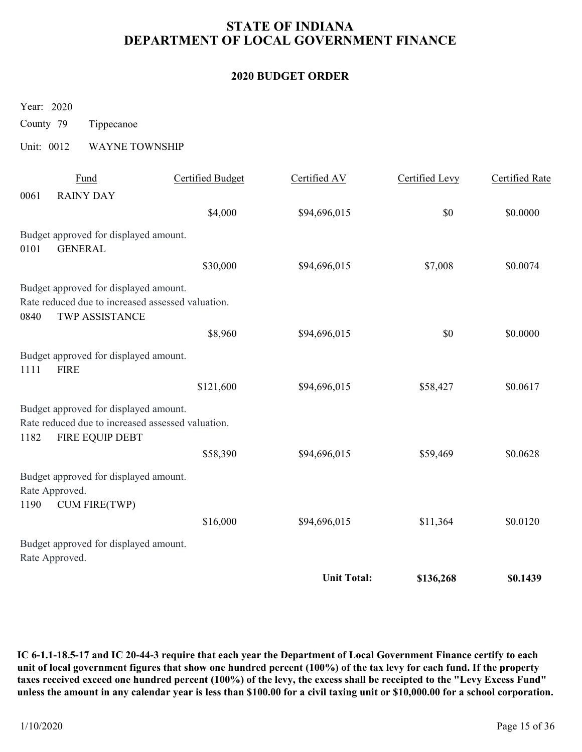# STATE OF INDIANA DEPARTMENT OF LOCAL GOVERNMENT FINANCE STATE OF INDIANA<br>
DEPARTMENT OF LOCAL GOVERNMENT I<br>
2020 BUDGET ORDER<br>
Year: 2020<br>
County 79 Tippecanoe<br>
Unit: 0012 WAYNE TOWNSHIP<br>
<u>Fund</u> Certified Budget Certified AV</u>

### 2020 BUDGET ORDER

| <b>STATE OF INDIANA</b><br>DEPARTMENT OF LOCAL GOVERNMENT FINANCE |                                                                                                               |                         |                    |                |                       |  |
|-------------------------------------------------------------------|---------------------------------------------------------------------------------------------------------------|-------------------------|--------------------|----------------|-----------------------|--|
| <b>2020 BUDGET ORDER</b>                                          |                                                                                                               |                         |                    |                |                       |  |
| Year: 2020<br>County 79                                           | Tippecanoe                                                                                                    |                         |                    |                |                       |  |
| Unit: 0012                                                        | <b>WAYNE TOWNSHIP</b>                                                                                         |                         |                    |                |                       |  |
| 0061                                                              | Fund<br><b>RAINY DAY</b>                                                                                      | <b>Certified Budget</b> | Certified AV       | Certified Levy | <b>Certified Rate</b> |  |
|                                                                   |                                                                                                               | \$4,000                 | \$94,696,015       | \$0            | \$0.0000              |  |
| 0101                                                              | Budget approved for displayed amount.<br><b>GENERAL</b>                                                       |                         |                    |                |                       |  |
|                                                                   |                                                                                                               | \$30,000                | \$94,696,015       | \$7,008        | \$0.0074              |  |
| 0840                                                              | Budget approved for displayed amount.<br>Rate reduced due to increased assessed valuation.<br>TWP ASSISTANCE  |                         |                    |                |                       |  |
|                                                                   |                                                                                                               | \$8,960                 | \$94,696,015       | $\$0$          | \$0.0000              |  |
| <b>FIRE</b><br>1111                                               | Budget approved for displayed amount.                                                                         |                         |                    |                |                       |  |
|                                                                   |                                                                                                               | \$121,600               | \$94,696,015       | \$58,427       | \$0.0617              |  |
| 1182                                                              | Budget approved for displayed amount.<br>Rate reduced due to increased assessed valuation.<br>FIRE EQUIP DEBT |                         |                    |                |                       |  |
|                                                                   |                                                                                                               | \$58,390                | \$94,696,015       | \$59,469       | \$0.0628              |  |
| Rate Approved.<br>1190                                            | Budget approved for displayed amount.<br><b>CUM FIRE(TWP)</b>                                                 |                         |                    |                |                       |  |
|                                                                   |                                                                                                               | \$16,000                | \$94,696,015       | \$11,364       | \$0.0120              |  |
| Rate Approved.                                                    | Budget approved for displayed amount.                                                                         |                         |                    |                |                       |  |
|                                                                   |                                                                                                               |                         | <b>Unit Total:</b> | \$136,268      | \$0.1439              |  |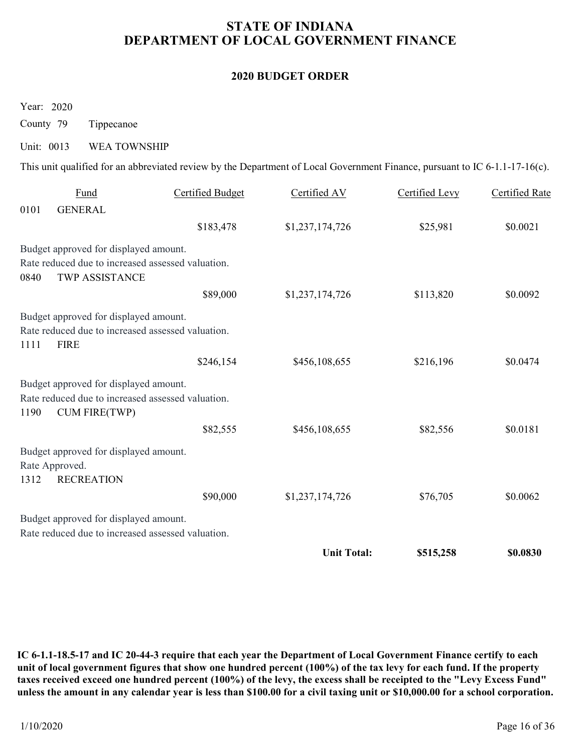# STATE OF INDIANA DEPARTMENT OF LOCAL GOVERNMENT FINANCE STATE OF INDIANA<br>
DEPARTMENT OF LOCAL GOVERNMENT I<br>
2020 BUDGET ORDER<br>
County 79 Tippecanoe<br>
Unit: 0013 WEA TOWNSHIP<br>
This unit qualified for an abbreviated review by the Department of Local Government Fini

### 2020 BUDGET ORDER

| DEPARTMENT OF LOCAL GOVERNMENT FINANCE |                                                                                                                    |                         |                                                                                                                             |                |                       |  |
|----------------------------------------|--------------------------------------------------------------------------------------------------------------------|-------------------------|-----------------------------------------------------------------------------------------------------------------------------|----------------|-----------------------|--|
|                                        |                                                                                                                    |                         | <b>2020 BUDGET ORDER</b>                                                                                                    |                |                       |  |
| Year: 2020                             |                                                                                                                    |                         |                                                                                                                             |                |                       |  |
| County 79                              | Tippecanoe                                                                                                         |                         |                                                                                                                             |                |                       |  |
| Unit: 0013                             | <b>WEA TOWNSHIP</b>                                                                                                |                         |                                                                                                                             |                |                       |  |
|                                        |                                                                                                                    |                         | This unit qualified for an abbreviated review by the Department of Local Government Finance, pursuant to IC 6-1.1-17-16(c). |                |                       |  |
| 0101                                   | Fund<br><b>GENERAL</b>                                                                                             | <b>Certified Budget</b> | Certified AV                                                                                                                | Certified Levy | <b>Certified Rate</b> |  |
|                                        |                                                                                                                    | \$183,478               | \$1,237,174,726                                                                                                             | \$25,981       | \$0.0021              |  |
| 0840                                   | Budget approved for displayed amount.<br>Rate reduced due to increased assessed valuation.<br>TWP ASSISTANCE       |                         |                                                                                                                             |                |                       |  |
|                                        |                                                                                                                    | \$89,000                | \$1,237,174,726                                                                                                             | \$113,820      | \$0.0092              |  |
| 1111                                   | Budget approved for displayed amount.<br>Rate reduced due to increased assessed valuation.<br><b>FIRE</b>          |                         |                                                                                                                             |                |                       |  |
|                                        |                                                                                                                    | \$246,154               | \$456,108,655                                                                                                               | \$216,196      | \$0.0474              |  |
| 1190                                   | Budget approved for displayed amount.<br>Rate reduced due to increased assessed valuation.<br><b>CUM FIRE(TWP)</b> |                         |                                                                                                                             |                |                       |  |
|                                        |                                                                                                                    | \$82,555                | \$456,108,655                                                                                                               | \$82,556       | \$0.0181              |  |
| Rate Approved.<br>1312                 | Budget approved for displayed amount.<br><b>RECREATION</b>                                                         |                         |                                                                                                                             |                |                       |  |
|                                        |                                                                                                                    | \$90,000                | \$1,237,174,726                                                                                                             | \$76,705       | \$0.0062              |  |
|                                        | Budget approved for displayed amount.<br>Rate reduced due to increased assessed valuation.                         |                         |                                                                                                                             |                |                       |  |
|                                        |                                                                                                                    |                         | <b>Unit Total:</b>                                                                                                          | \$515,258      | \$0.0830              |  |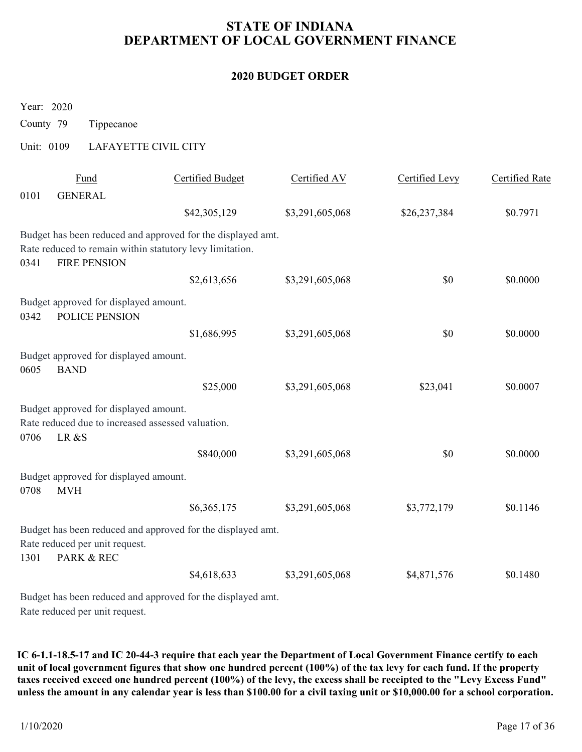# STATE OF INDIANA DEPARTMENT OF LOCAL GOVERNMENT FINANCE STATE OF INDIANA<br>
DEPARTMENT OF LOCAL GOVERNMENT I<br>
2020 BUDGET ORDER<br>
Year: 2020<br>
County 79 Tippecanoe<br>
Unit: 0109 LAFAYETTE CIVIL CITY<br>
<u>Fund</u> Certified Budget Certified AV</u>

### 2020 BUDGET ORDER

|                                       |                                                                                            | <b>STATE OF INDIANA</b><br>DEPARTMENT OF LOCAL GOVERNMENT FINANCE                                                       |                 |                |                       |  |  |  |
|---------------------------------------|--------------------------------------------------------------------------------------------|-------------------------------------------------------------------------------------------------------------------------|-----------------|----------------|-----------------------|--|--|--|
| <b>2020 BUDGET ORDER</b>              |                                                                                            |                                                                                                                         |                 |                |                       |  |  |  |
| Year: 2020<br>County 79<br>Unit: 0109 | Tippecanoe<br><b>LAFAYETTE CIVIL CITY</b>                                                  |                                                                                                                         |                 |                |                       |  |  |  |
|                                       | Fund                                                                                       | <b>Certified Budget</b>                                                                                                 | Certified AV    | Certified Levy | <b>Certified Rate</b> |  |  |  |
| 0101                                  | <b>GENERAL</b>                                                                             | \$42,305,129                                                                                                            | \$3,291,605,068 | \$26,237,384   | \$0.7971              |  |  |  |
| 0341                                  | <b>FIRE PENSION</b>                                                                        | Budget has been reduced and approved for the displayed amt.<br>Rate reduced to remain within statutory levy limitation. |                 |                |                       |  |  |  |
|                                       |                                                                                            | \$2,613,656                                                                                                             | \$3,291,605,068 | \$0            | \$0.0000              |  |  |  |
| 0342                                  | Budget approved for displayed amount.<br>POLICE PENSION                                    |                                                                                                                         |                 |                |                       |  |  |  |
|                                       |                                                                                            | \$1,686,995                                                                                                             | \$3,291,605,068 | $\$0$          | \$0.0000              |  |  |  |
| <b>BAND</b><br>0605                   | Budget approved for displayed amount.                                                      |                                                                                                                         |                 |                |                       |  |  |  |
|                                       |                                                                                            | \$25,000                                                                                                                | \$3,291,605,068 | \$23,041       | \$0.0007              |  |  |  |
| 0706<br>LR &S                         | Budget approved for displayed amount.<br>Rate reduced due to increased assessed valuation. |                                                                                                                         |                 |                |                       |  |  |  |
|                                       |                                                                                            | \$840,000                                                                                                               | \$3,291,605,068 | \$0            | \$0.0000              |  |  |  |
| 0708<br><b>MVH</b>                    | Budget approved for displayed amount.                                                      |                                                                                                                         |                 |                |                       |  |  |  |
|                                       |                                                                                            | \$6,365,175                                                                                                             | \$3,291,605,068 | \$3,772,179    | \$0.1146              |  |  |  |
|                                       |                                                                                            | Budget has been reduced and approved for the displayed amt.                                                             |                 |                |                       |  |  |  |
| 1301                                  | Rate reduced per unit request.<br>PARK & REC                                               |                                                                                                                         |                 |                |                       |  |  |  |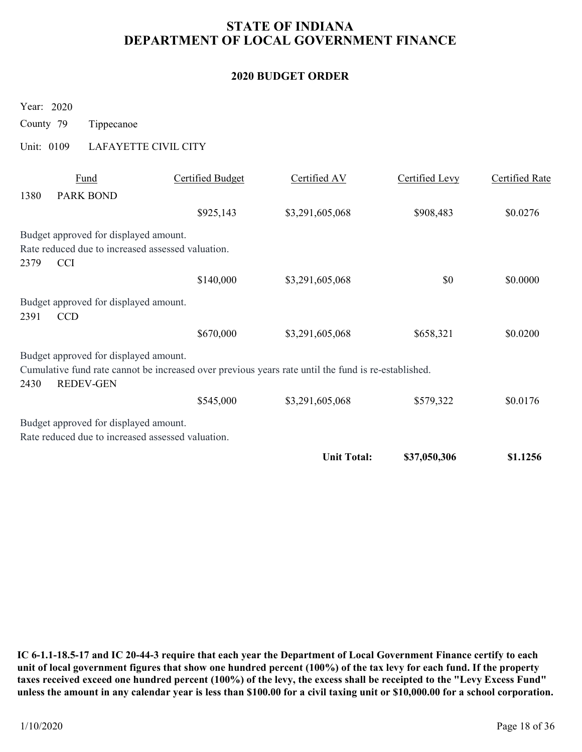# STATE OF INDIANA DEPARTMENT OF LOCAL GOVERNMENT FINANCE STATE OF INDIANA<br>
DEPARTMENT OF LOCAL GOVERNMENT I<br>
2020 BUDGET ORDER<br>
Year: 2020<br>
County 79 Tippecanoe<br>
Unit: 0109 LAFAYETTE CIVIL CITY<br>
<u>Fund</u> Certified Budget Certified AV</u>

### 2020 BUDGET ORDER

|                          | <b>STATE OF INDIANA</b><br>DEPARTMENT OF LOCAL GOVERNMENT FINANCE                          |                         |                                                                                                     |                |                       |  |  |  |
|--------------------------|--------------------------------------------------------------------------------------------|-------------------------|-----------------------------------------------------------------------------------------------------|----------------|-----------------------|--|--|--|
| <b>2020 BUDGET ORDER</b> |                                                                                            |                         |                                                                                                     |                |                       |  |  |  |
| Year: 2020               |                                                                                            |                         |                                                                                                     |                |                       |  |  |  |
| County 79                | Tippecanoe                                                                                 |                         |                                                                                                     |                |                       |  |  |  |
| Unit: 0109               | <b>LAFAYETTE CIVIL CITY</b>                                                                |                         |                                                                                                     |                |                       |  |  |  |
| 1380                     | <b>Fund</b><br><b>PARK BOND</b>                                                            | <b>Certified Budget</b> | Certified AV                                                                                        | Certified Levy | <b>Certified Rate</b> |  |  |  |
|                          |                                                                                            | \$925,143               | \$3,291,605,068                                                                                     | \$908,483      | \$0.0276              |  |  |  |
|                          | Budget approved for displayed amount.<br>Rate reduced due to increased assessed valuation. |                         |                                                                                                     |                |                       |  |  |  |
| 2379<br><b>CCI</b>       |                                                                                            |                         |                                                                                                     |                |                       |  |  |  |
|                          |                                                                                            | \$140,000               | \$3,291,605,068                                                                                     | \$0            | \$0.0000              |  |  |  |
| 2391<br><b>CCD</b>       | Budget approved for displayed amount.                                                      |                         |                                                                                                     |                |                       |  |  |  |
|                          |                                                                                            | \$670,000               | \$3,291,605,068                                                                                     | \$658,321      | \$0.0200              |  |  |  |
|                          | Budget approved for displayed amount.                                                      |                         | Cumulative fund rate cannot be increased over previous years rate until the fund is re-established. |                |                       |  |  |  |
| 2430                     | REDEV-GEN                                                                                  | \$545,000               | \$3,291,605,068                                                                                     | \$579,322      | \$0.0176              |  |  |  |
|                          | Budget approved for displayed amount.<br>Rate reduced due to increased assessed valuation. |                         |                                                                                                     |                |                       |  |  |  |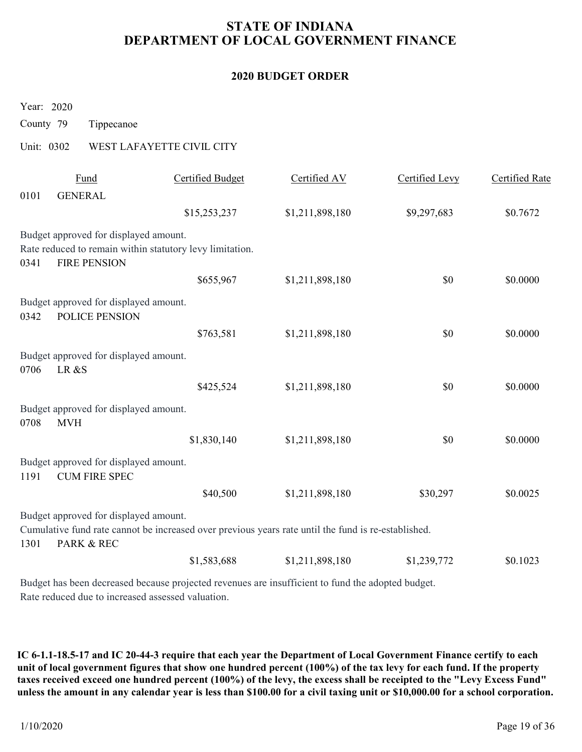# STATE OF INDIANA DEPARTMENT OF LOCAL GOVERNMENT FINANCE STATE OF INDIANA<br>
DEPARTMENT OF LOCAL GOVERNMENT I<br>
2020 BUDGET ORDER<br>
Year: 2020<br>
County 79 Tippecanoe<br>
Unit: 0302 WEST LAFAYETTE CIVIL CITY<br>
<u>Fund</u> Certified Budget Certified AV</u>

### 2020 BUDGET ORDER

| <b>STATE OF INDIANA</b><br>DEPARTMENT OF LOCAL GOVERNMENT FINANCE |                                                               |                                                                                                     |                 |                |                       |  |  |
|-------------------------------------------------------------------|---------------------------------------------------------------|-----------------------------------------------------------------------------------------------------|-----------------|----------------|-----------------------|--|--|
| <b>2020 BUDGET ORDER</b>                                          |                                                               |                                                                                                     |                 |                |                       |  |  |
| Year: 2020<br>County 79                                           | Tippecanoe                                                    |                                                                                                     |                 |                |                       |  |  |
| Unit: 0302                                                        |                                                               | WEST LAFAYETTE CIVIL CITY                                                                           |                 |                |                       |  |  |
| 0101                                                              | Fund<br><b>GENERAL</b>                                        | <b>Certified Budget</b>                                                                             | Certified AV    | Certified Levy | <b>Certified Rate</b> |  |  |
|                                                                   |                                                               | \$15,253,237                                                                                        | \$1,211,898,180 | \$9,297,683    | \$0.7672              |  |  |
| 0341                                                              | Budget approved for displayed amount.<br><b>FIRE PENSION</b>  | Rate reduced to remain within statutory levy limitation.                                            |                 |                |                       |  |  |
|                                                                   |                                                               | \$655,967                                                                                           | \$1,211,898,180 | \$0            | \$0.0000              |  |  |
| 0342                                                              | Budget approved for displayed amount.<br>POLICE PENSION       |                                                                                                     |                 |                |                       |  |  |
|                                                                   |                                                               | \$763,581                                                                                           | \$1,211,898,180 | $\$0$          | \$0.0000              |  |  |
|                                                                   | Budget approved for displayed amount.<br>0706 LR &S           |                                                                                                     |                 |                |                       |  |  |
|                                                                   |                                                               | \$425,524                                                                                           | \$1,211,898,180 | \$0            | \$0.0000              |  |  |
| 0708                                                              | Budget approved for displayed amount.<br><b>MVH</b>           |                                                                                                     |                 |                |                       |  |  |
|                                                                   |                                                               | \$1,830,140                                                                                         | \$1,211,898,180 | \$0            | \$0.0000              |  |  |
| 1191                                                              | Budget approved for displayed amount.<br><b>CUM FIRE SPEC</b> |                                                                                                     |                 |                |                       |  |  |
|                                                                   |                                                               | \$40,500                                                                                            | \$1,211,898,180 | \$30,297       | \$0.0025              |  |  |
|                                                                   |                                                               |                                                                                                     |                 |                |                       |  |  |
| 1301                                                              | Budget approved for displayed amount.<br>PARK & REC           | Cumulative fund rate cannot be increased over previous years rate until the fund is re-established. |                 |                |                       |  |  |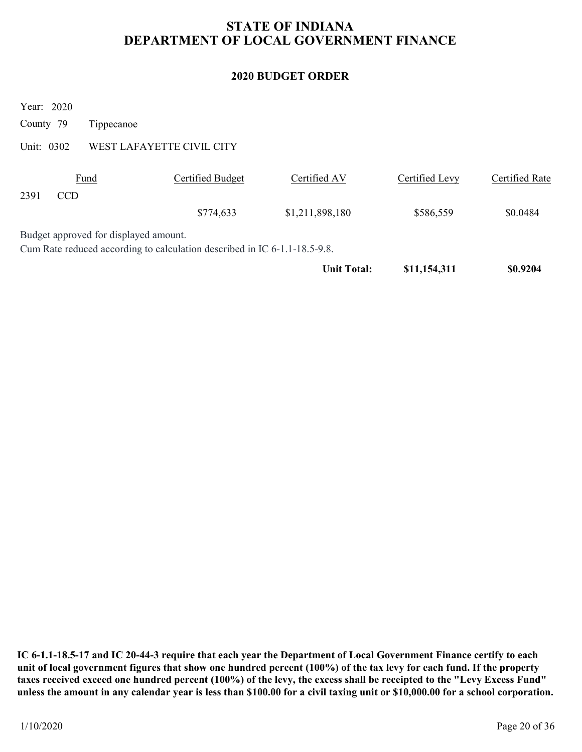### 2020 BUDGET ORDER

|             |                                       |                                                                           | <b>STATE OF INDIANA</b><br>DEPARTMENT OF LOCAL GOVERNMENT FINANCE |                |                       |
|-------------|---------------------------------------|---------------------------------------------------------------------------|-------------------------------------------------------------------|----------------|-----------------------|
|             |                                       |                                                                           | <b>2020 BUDGET ORDER</b>                                          |                |                       |
| Year: 2020  |                                       |                                                                           |                                                                   |                |                       |
| County 79   | Tippecanoe                            |                                                                           |                                                                   |                |                       |
| Unit: 0302  |                                       | WEST LAFAYETTE CIVIL CITY                                                 |                                                                   |                |                       |
| CCD<br>2391 | Fund                                  | <b>Certified Budget</b>                                                   | Certified AV                                                      | Certified Levy | <b>Certified Rate</b> |
|             |                                       | \$774,633                                                                 | \$1,211,898,180                                                   | \$586,559      | \$0.0484              |
|             | Budget approved for displayed amount. | Cum Rate reduced according to calculation described in IC 6-1.1-18.5-9.8. |                                                                   |                |                       |
|             |                                       |                                                                           | <b>Unit Total:</b>                                                | \$11,154,311   | \$0.9204              |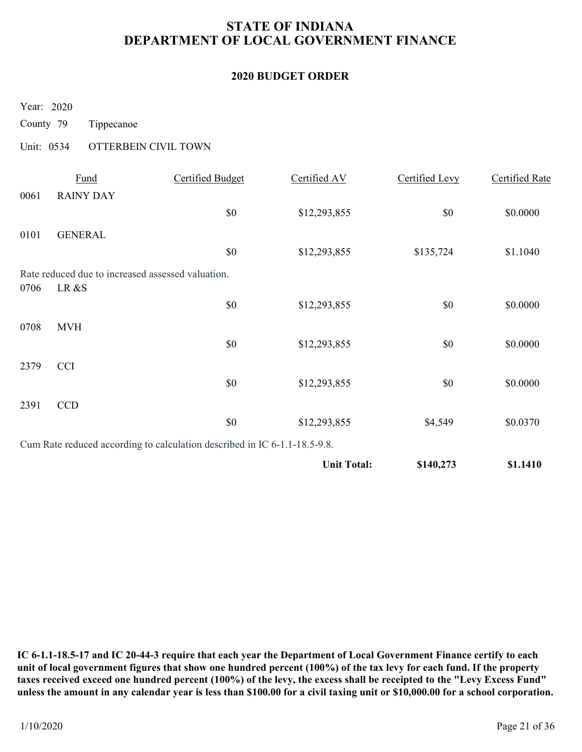# STATE OF INDIANA DEPARTMENT OF LOCAL GOVERNMENT FINANCE STATE OF INDIANA<br>
DEPARTMENT OF LOCAL GOVERNMENT I<br>
2020 BUDGET ORDER<br>
Year: 2020<br>
County 79 Tippecanoe<br>
Unit: 0534 OTTERBEIN CIVIL TOWN<br>
<u>Fund</u> Certified Budget Certified AV

### 2020 BUDGET ORDER

|                                     |                          |                                                                           | <b>2020 BUDGET ORDER</b> |                       |                       |
|-------------------------------------|--------------------------|---------------------------------------------------------------------------|--------------------------|-----------------------|-----------------------|
| Year: 2020                          |                          |                                                                           |                          |                       |                       |
| County 79                           | Tippecanoe               |                                                                           |                          |                       |                       |
| Unit: 0534                          | OTTERBEIN CIVIL TOWN     |                                                                           |                          |                       |                       |
| 0061                                | Fund<br><b>RAINY DAY</b> | <b>Certified Budget</b>                                                   | Certified AV             | <b>Certified Levy</b> | <b>Certified Rate</b> |
|                                     |                          | \$0                                                                       | \$12,293,855             | \$0                   | \$0.0000              |
| 0101                                | <b>GENERAL</b>           |                                                                           |                          |                       |                       |
|                                     |                          | \$0                                                                       | \$12,293,855             | \$135,724             | \$1.1040              |
| LR &S<br>0706                       |                          | Rate reduced due to increased assessed valuation.                         |                          |                       |                       |
|                                     |                          | \$0                                                                       | \$12,293,855             | \$0                   | \$0.0000              |
| 0708 MVH                            |                          |                                                                           |                          |                       |                       |
|                                     |                          | $\$0$                                                                     | \$12,293,855             | $\$0$                 | \$0.0000              |
| <b>CCI</b><br>2379                  |                          |                                                                           |                          |                       |                       |
|                                     |                          | $\$0$                                                                     | \$12,293,855             | $\$0$                 | \$0.0000              |
| $\ensuremath{\mathsf{CCD}}$<br>2391 |                          | $\$0$                                                                     | \$12,293,855             | \$4,549               | \$0.0370              |
|                                     |                          | Cum Rate reduced according to calculation described in IC 6-1.1-18.5-9.8. |                          |                       |                       |
|                                     |                          |                                                                           | <b>Unit Total:</b>       | \$140,273             | \$1.1410              |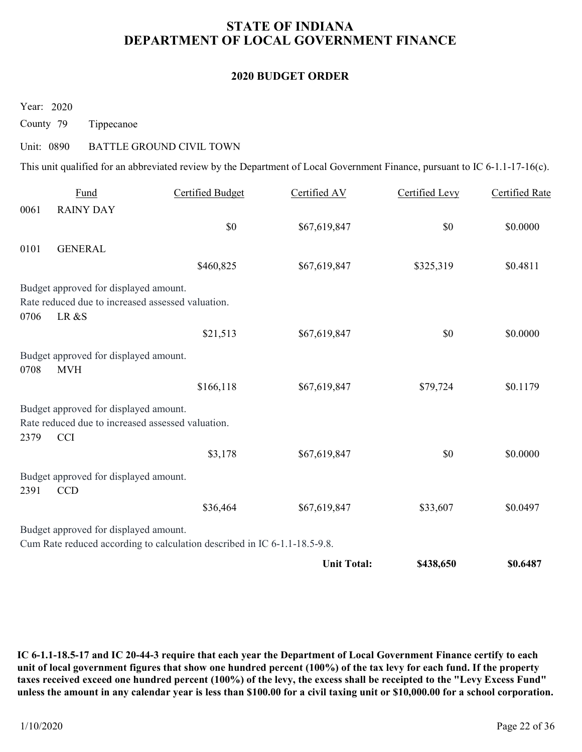# STATE OF INDIANA DEPARTMENT OF LOCAL GOVERNMENT FINANCE STATE OF INDIANA<br>
DEPARTMENT OF LOCAL GOVERNMENT I<br>
2020 BUDGET ORDER<br>
County 79 Tippecanoe<br>
Unit: 0890 BATTLE GROUND CIVIL TOWN<br>
This unit qualified for an abbreviated review by the Department of Local Government Fini

### 2020 BUDGET ORDER

| DEPARTMENT OF LOCAL GOVERNMENT FINANCE                      |                                                                                                                             |                          |                       |                       |  |  |
|-------------------------------------------------------------|-----------------------------------------------------------------------------------------------------------------------------|--------------------------|-----------------------|-----------------------|--|--|
|                                                             |                                                                                                                             | <b>2020 BUDGET ORDER</b> |                       |                       |  |  |
| Year: 2020<br>County 79                                     | Tippecanoe                                                                                                                  |                          |                       |                       |  |  |
| Unit: 0890                                                  | <b>BATTLE GROUND CIVIL TOWN</b>                                                                                             |                          |                       |                       |  |  |
|                                                             | This unit qualified for an abbreviated review by the Department of Local Government Finance, pursuant to IC 6-1.1-17-16(c). |                          |                       |                       |  |  |
| Fund<br>0061<br><b>RAINY DAY</b>                            | <b>Certified Budget</b>                                                                                                     | Certified AV             | <b>Certified Levy</b> | <b>Certified Rate</b> |  |  |
|                                                             | \$0                                                                                                                         | \$67,619,847             | $\$0$                 | \$0.0000              |  |  |
| 0101<br><b>GENERAL</b>                                      |                                                                                                                             |                          |                       |                       |  |  |
|                                                             | \$460,825                                                                                                                   | \$67,619,847             | \$325,319             | \$0.4811              |  |  |
| Budget approved for displayed amount.<br>LR &S<br>0706      | Rate reduced due to increased assessed valuation.                                                                           |                          |                       |                       |  |  |
|                                                             | \$21,513                                                                                                                    | \$67,619,847             | \$0                   | \$0.0000              |  |  |
| Budget approved for displayed amount.<br><b>MVH</b><br>0708 |                                                                                                                             |                          |                       |                       |  |  |
|                                                             | \$166,118                                                                                                                   | \$67,619,847             | \$79,724              | \$0.1179              |  |  |
| Budget approved for displayed amount.<br>2379<br><b>CCI</b> | Rate reduced due to increased assessed valuation.                                                                           |                          |                       |                       |  |  |
|                                                             | \$3,178                                                                                                                     | \$67,619,847             | \$0                   | \$0.0000              |  |  |
| Budget approved for displayed amount.<br>2391<br><b>CCD</b> |                                                                                                                             |                          |                       |                       |  |  |
|                                                             | \$36,464                                                                                                                    | \$67,619,847             | \$33,607              | \$0.0497              |  |  |
| Budget approved for displayed amount.                       | Cum Rate reduced according to calculation described in IC 6-1.1-18.5-9.8.                                                   |                          |                       |                       |  |  |
|                                                             |                                                                                                                             | <b>Unit Total:</b>       | \$438,650             | \$0.6487              |  |  |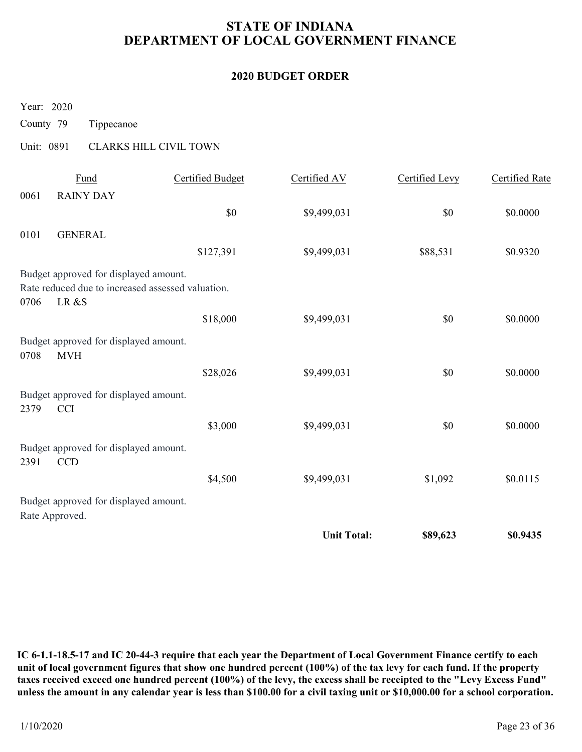# STATE OF INDIANA DEPARTMENT OF LOCAL GOVERNMENT FINANCE STATE OF INDIANA<br>
DEPARTMENT OF LOCAL GOVERNMENT I<br>
2020 BUDGET ORDER<br>
Year: 2020<br>
County 79 Tippecanoe<br>
Unit: 0891 CLARKS HILL CIVIL TOWN<br>
<u>Fund</u> Certified Budget Certified AV</u>

### 2020 BUDGET ORDER

| <b>STATE OF INDIANA</b><br>DEPARTMENT OF LOCAL GOVERNMENT FINANCE |                                                               |                                                   |                    |                |                       |  |  |
|-------------------------------------------------------------------|---------------------------------------------------------------|---------------------------------------------------|--------------------|----------------|-----------------------|--|--|
| <b>2020 BUDGET ORDER</b>                                          |                                                               |                                                   |                    |                |                       |  |  |
| Year: 2020                                                        |                                                               |                                                   |                    |                |                       |  |  |
| County 79                                                         | Tippecanoe                                                    |                                                   |                    |                |                       |  |  |
| Unit: 0891                                                        |                                                               | <b>CLARKS HILL CIVIL TOWN</b>                     |                    |                |                       |  |  |
| 0061                                                              | Fund<br><b>RAINY DAY</b>                                      | <b>Certified Budget</b>                           | Certified AV       | Certified Levy | <b>Certified Rate</b> |  |  |
|                                                                   |                                                               | \$0                                               | \$9,499,031        | \$0            | \$0.0000              |  |  |
| 0101                                                              | <b>GENERAL</b>                                                |                                                   |                    |                |                       |  |  |
|                                                                   |                                                               | \$127,391                                         | \$9,499,031        | \$88,531       | \$0.9320              |  |  |
| 0706                                                              | Budget approved for displayed amount.<br>LR &S                | Rate reduced due to increased assessed valuation. |                    |                |                       |  |  |
|                                                                   |                                                               | \$18,000                                          | \$9,499,031        | \$0            | \$0.0000              |  |  |
| 0708                                                              | Budget approved for displayed amount.<br>$\operatorname{MVH}$ |                                                   |                    |                |                       |  |  |
|                                                                   |                                                               | \$28,026                                          | \$9,499,031        | $\$0$          | \$0.0000              |  |  |
| 2379                                                              | Budget approved for displayed amount.<br><b>CCI</b>           |                                                   |                    |                |                       |  |  |
|                                                                   |                                                               | \$3,000                                           | \$9,499,031        | $\$0$          | \$0.0000              |  |  |
| 2391                                                              | Budget approved for displayed amount.<br>CCD                  |                                                   |                    |                |                       |  |  |
|                                                                   |                                                               | \$4,500                                           | \$9,499,031        | \$1,092        | \$0.0115              |  |  |
|                                                                   | Budget approved for displayed amount.<br>Rate Approved.       |                                                   |                    |                |                       |  |  |
|                                                                   |                                                               |                                                   | <b>Unit Total:</b> | \$89,623       | \$0.9435              |  |  |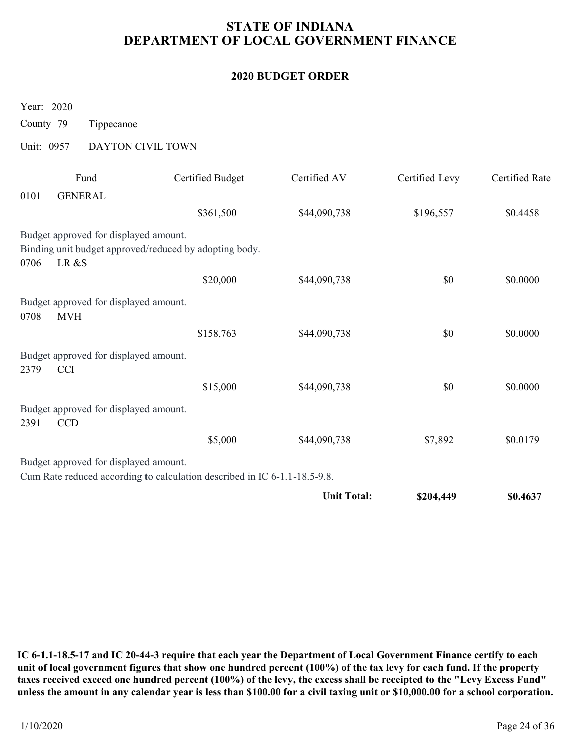# STATE OF INDIANA DEPARTMENT OF LOCAL GOVERNMENT FINANCE STATE OF INDIANA<br>
DEPARTMENT OF LOCAL GOVERNMENT I<br>
2020 BUDGET ORDER<br>
Year: 2020<br>
County 79 Tippecanoe<br>
Unit: 0957 DAYTON CIVIL TOWN<br>
<u>Fund</u> Certified Budget Certified AV</u>

### 2020 BUDGET ORDER

|                                                             |                                                                           | <b>STATE OF INDIANA</b><br>DEPARTMENT OF LOCAL GOVERNMENT FINANCE |                |                       |  |  |  |  |  |  |
|-------------------------------------------------------------|---------------------------------------------------------------------------|-------------------------------------------------------------------|----------------|-----------------------|--|--|--|--|--|--|
| <b>2020 BUDGET ORDER</b>                                    |                                                                           |                                                                   |                |                       |  |  |  |  |  |  |
| Year: 2020<br>County 79                                     | Tippecanoe                                                                |                                                                   |                |                       |  |  |  |  |  |  |
| Unit: 0957                                                  | DAYTON CIVIL TOWN                                                         |                                                                   |                |                       |  |  |  |  |  |  |
| Fund<br><b>GENERAL</b><br>0101                              | <b>Certified Budget</b>                                                   | Certified AV                                                      | Certified Levy | <b>Certified Rate</b> |  |  |  |  |  |  |
|                                                             | \$361,500                                                                 | \$44,090,738                                                      | \$196,557      | \$0.4458              |  |  |  |  |  |  |
| Budget approved for displayed amount.<br>LR &S<br>0706      | Binding unit budget approved/reduced by adopting body.                    |                                                                   |                |                       |  |  |  |  |  |  |
|                                                             | \$20,000                                                                  | \$44,090,738                                                      | \$0            | \$0.0000              |  |  |  |  |  |  |
| Budget approved for displayed amount.<br><b>MVH</b><br>0708 |                                                                           |                                                                   |                |                       |  |  |  |  |  |  |
|                                                             | \$158,763                                                                 | \$44,090,738                                                      | $\$0$          | \$0.0000              |  |  |  |  |  |  |
| Budget approved for displayed amount.<br><b>CCI</b><br>2379 |                                                                           |                                                                   |                |                       |  |  |  |  |  |  |
|                                                             | \$15,000                                                                  | \$44,090,738                                                      | $\$0$          | \$0.0000              |  |  |  |  |  |  |
|                                                             |                                                                           |                                                                   |                |                       |  |  |  |  |  |  |
| CCD                                                         |                                                                           |                                                                   |                |                       |  |  |  |  |  |  |
| Budget approved for displayed amount.<br>2391               | \$5,000                                                                   | \$44,090,738                                                      | \$7,892        | \$0.0179              |  |  |  |  |  |  |
| Budget approved for displayed amount.                       | Cum Rate reduced according to calculation described in IC 6-1.1-18.5-9.8. |                                                                   |                |                       |  |  |  |  |  |  |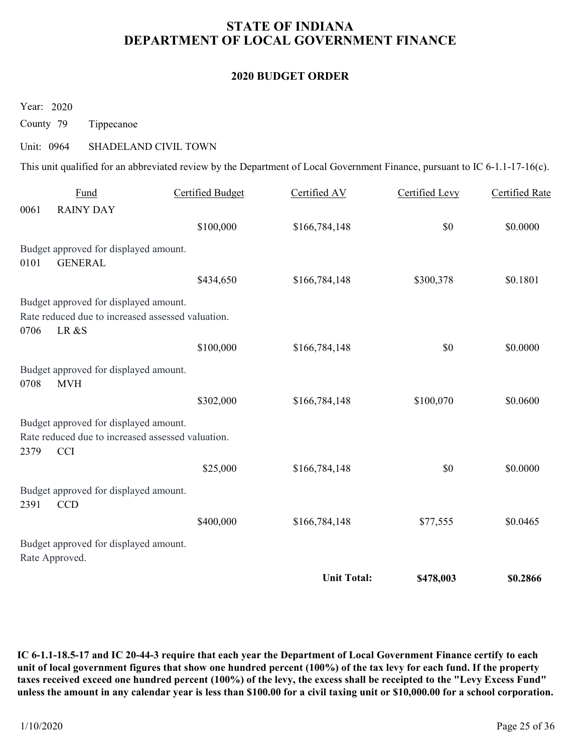# STATE OF INDIANA DEPARTMENT OF LOCAL GOVERNMENT FINANCE STATE OF INDIANA<br>
DEPARTMENT OF LOCAL GOVERNMENT I<br>
2020 BUDGET ORDER<br>
County 79 Tippecanoe<br>
Unit: 0964 SHADELAND CIVIL TOWN<br>
This unit qualified for an abbreviated review by the Department of Local Government Fini

### 2020 BUDGET ORDER

|                          |                                                                                                          | DEPARTMENT OF LOCAL GOVERNMENT FINANCE |                                                                                                                             |                |                       |  |  |  |
|--------------------------|----------------------------------------------------------------------------------------------------------|----------------------------------------|-----------------------------------------------------------------------------------------------------------------------------|----------------|-----------------------|--|--|--|
| <b>2020 BUDGET ORDER</b> |                                                                                                          |                                        |                                                                                                                             |                |                       |  |  |  |
| Year: 2020               |                                                                                                          |                                        |                                                                                                                             |                |                       |  |  |  |
| County 79                | Tippecanoe                                                                                               |                                        |                                                                                                                             |                |                       |  |  |  |
| Unit: 0964               | SHADELAND CIVIL TOWN                                                                                     |                                        |                                                                                                                             |                |                       |  |  |  |
|                          |                                                                                                          |                                        | This unit qualified for an abbreviated review by the Department of Local Government Finance, pursuant to IC 6-1.1-17-16(c). |                |                       |  |  |  |
| 0061                     | Fund<br><b>RAINY DAY</b>                                                                                 | <b>Certified Budget</b>                | Certified AV                                                                                                                | Certified Levy | <b>Certified Rate</b> |  |  |  |
|                          |                                                                                                          | \$100,000                              | \$166,784,148                                                                                                               | \$0            | \$0.0000              |  |  |  |
| 0101                     | Budget approved for displayed amount.<br><b>GENERAL</b>                                                  |                                        |                                                                                                                             |                |                       |  |  |  |
|                          |                                                                                                          | \$434,650                              | \$166,784,148                                                                                                               | \$300,378      | \$0.1801              |  |  |  |
| 0706                     | Budget approved for displayed amount.<br>Rate reduced due to increased assessed valuation.<br>LR &S      |                                        |                                                                                                                             |                |                       |  |  |  |
|                          |                                                                                                          | \$100,000                              | \$166,784,148                                                                                                               | \$0            | \$0.0000              |  |  |  |
| 0708                     | Budget approved for displayed amount.<br><b>MVH</b>                                                      |                                        |                                                                                                                             |                |                       |  |  |  |
|                          |                                                                                                          | \$302,000                              | \$166,784,148                                                                                                               | \$100,070      | \$0.0600              |  |  |  |
| 2379                     | Budget approved for displayed amount.<br>Rate reduced due to increased assessed valuation.<br><b>CCI</b> |                                        |                                                                                                                             |                |                       |  |  |  |
|                          |                                                                                                          | \$25,000                               | \$166,784,148                                                                                                               | \$0            | \$0.0000              |  |  |  |
| 2391                     | Budget approved for displayed amount.<br>CCD                                                             |                                        |                                                                                                                             |                |                       |  |  |  |
|                          |                                                                                                          | \$400,000                              | \$166,784,148                                                                                                               | \$77,555       | \$0.0465              |  |  |  |
|                          |                                                                                                          |                                        |                                                                                                                             |                |                       |  |  |  |
| Rate Approved.           | Budget approved for displayed amount.                                                                    |                                        |                                                                                                                             |                |                       |  |  |  |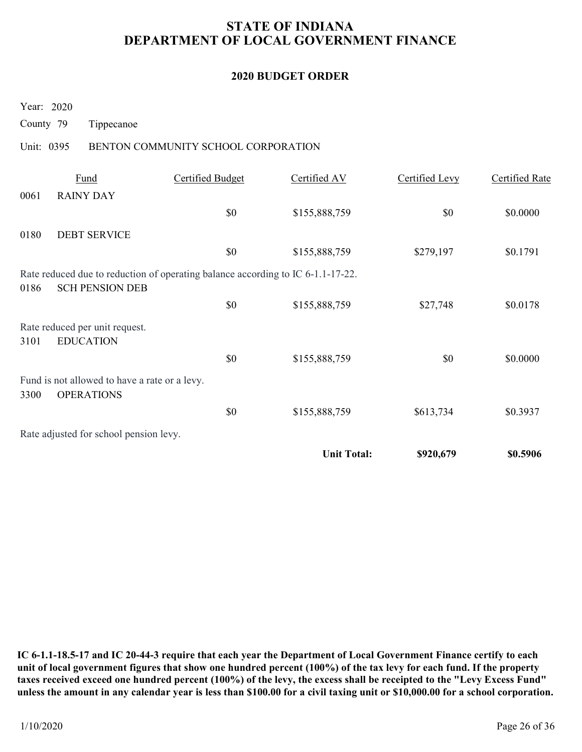# STATE OF INDIANA DEPARTMENT OF LOCAL GOVERNMENT FINANCE STATE OF INDIANA<br>
DEPARTMENT OF LOCAL GOVERNMENT I<br>
2020 BUDGET ORDER<br>
Year: 2020<br>
County 79 Tippecanoe<br>
Unit: 0395 BENTON COMMUNITY SCHOOL CORPORATION<br>
<u>Fund</u> Certified Budget Certified AV

### 2020 BUDGET ORDER

|                         | <b>STATE OF INDIANA</b><br>DEPARTMENT OF LOCAL GOVERNMENT FINANCE  |                                                                                 |                          |                       |                       |  |  |  |  |
|-------------------------|--------------------------------------------------------------------|---------------------------------------------------------------------------------|--------------------------|-----------------------|-----------------------|--|--|--|--|
|                         |                                                                    |                                                                                 | <b>2020 BUDGET ORDER</b> |                       |                       |  |  |  |  |
| Year: 2020<br>County 79 | Tippecanoe                                                         |                                                                                 |                          |                       |                       |  |  |  |  |
| Unit: 0395              |                                                                    | BENTON COMMUNITY SCHOOL CORPORATION                                             |                          |                       |                       |  |  |  |  |
| 0061                    | Fund<br><b>RAINY DAY</b>                                           | <b>Certified Budget</b>                                                         | Certified AV             | <b>Certified Levy</b> | <b>Certified Rate</b> |  |  |  |  |
|                         |                                                                    | \$0                                                                             | \$155,888,759            | \$0                   | \$0.0000              |  |  |  |  |
| 0180                    | <b>DEBT SERVICE</b>                                                |                                                                                 |                          |                       |                       |  |  |  |  |
|                         |                                                                    | \$0                                                                             | \$155,888,759            | \$279,197             | \$0.1791              |  |  |  |  |
| 0186                    | <b>SCH PENSION DEB</b>                                             | Rate reduced due to reduction of operating balance according to IC 6-1.1-17-22. |                          |                       |                       |  |  |  |  |
|                         |                                                                    | \$0                                                                             | \$155,888,759            | \$27,748              | \$0.0178              |  |  |  |  |
| 3101                    | Rate reduced per unit request.<br><b>EDUCATION</b>                 |                                                                                 |                          |                       |                       |  |  |  |  |
|                         |                                                                    | $\$0$                                                                           | \$155,888,759            | \$0                   | \$0.0000              |  |  |  |  |
| 3300                    | Fund is not allowed to have a rate or a levy.<br><b>OPERATIONS</b> |                                                                                 |                          |                       |                       |  |  |  |  |
|                         |                                                                    | $\$0$                                                                           | \$155,888,759            | \$613,734             | \$0.3937              |  |  |  |  |
|                         | Rate adjusted for school pension levy.                             |                                                                                 |                          |                       |                       |  |  |  |  |
|                         |                                                                    |                                                                                 | <b>Unit Total:</b>       | \$920,679             | \$0.5906              |  |  |  |  |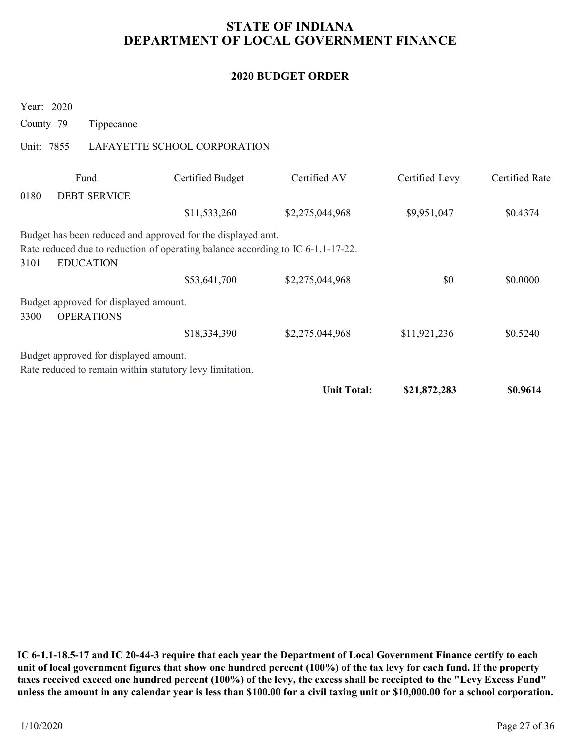# STATE OF INDIANA DEPARTMENT OF LOCAL GOVERNMENT FINANCE STATE OF INDIANA<br>
DEPARTMENT OF LOCAL GOVERNMENT I<br>
2020 BUDGET ORDER<br>
Year: 2020<br>
County 79 Tippecanoe<br>
Unit: 7855 LAFAYETTE SCHOOL CORPORATION<br>
<u>Fund</u> Certified Budget Certified AV</u>

### 2020 BUDGET ORDER

|                                                                                                                                                                            |                              |                          | DEPARTMENT OF LOCAL GOVERNMENT FINANCE |                       |
|----------------------------------------------------------------------------------------------------------------------------------------------------------------------------|------------------------------|--------------------------|----------------------------------------|-----------------------|
|                                                                                                                                                                            |                              | <b>2020 BUDGET ORDER</b> |                                        |                       |
| Year: 2020<br>County 79<br>Tippecanoe                                                                                                                                      |                              |                          |                                        |                       |
| Unit: 7855                                                                                                                                                                 | LAFAYETTE SCHOOL CORPORATION |                          |                                        |                       |
| Fund<br>0180<br><b>DEBT SERVICE</b>                                                                                                                                        | <b>Certified Budget</b>      | Certified AV             | Certified Levy                         | <b>Certified Rate</b> |
|                                                                                                                                                                            | \$11,533,260                 | \$2,275,044,968          | \$9,951,047                            | \$0.4374              |
| Budget has been reduced and approved for the displayed amt.<br>Rate reduced due to reduction of operating balance according to IC 6-1.1-17-22.<br>3101<br><b>EDUCATION</b> |                              |                          |                                        |                       |
|                                                                                                                                                                            | \$53,641,700                 | \$2,275,044,968          | \$0                                    | \$0.0000              |
| Budget approved for displayed amount.<br><b>OPERATIONS</b><br>3300                                                                                                         |                              |                          |                                        |                       |
|                                                                                                                                                                            | \$18,334,390                 | \$2,275,044,968          | \$11,921,236                           | \$0.5240              |
| Budget approved for displayed amount.<br>Rate reduced to remain within statutory levy limitation.                                                                          |                              |                          |                                        |                       |
|                                                                                                                                                                            |                              | <b>Unit Total:</b>       | \$21,872,283                           | \$0.9614              |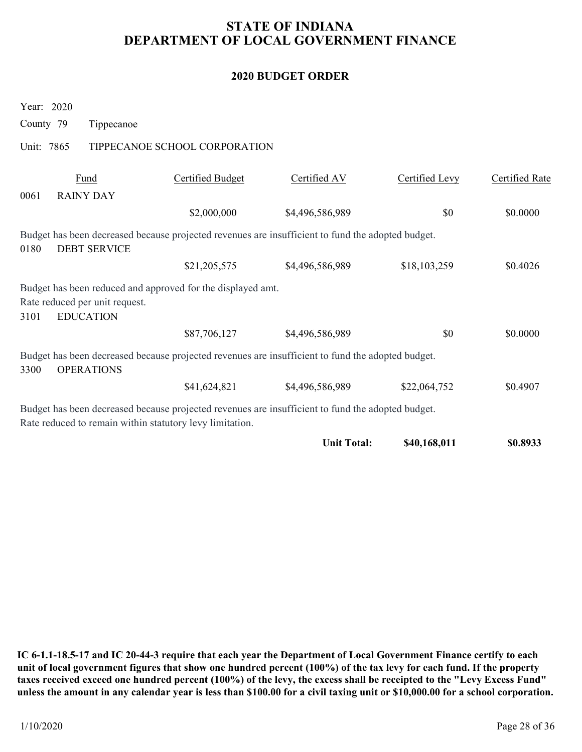### 2020 BUDGET ORDER

|                                                                                                                                                               |                               | <b>STATE OF INDIANA</b><br>DEPARTMENT OF LOCAL GOVERNMENT FINANCE |                |                       |
|---------------------------------------------------------------------------------------------------------------------------------------------------------------|-------------------------------|-------------------------------------------------------------------|----------------|-----------------------|
|                                                                                                                                                               |                               | <b>2020 BUDGET ORDER</b>                                          |                |                       |
| Year: 2020<br>County 79<br>Tippecanoe                                                                                                                         |                               |                                                                   |                |                       |
| Unit: 7865                                                                                                                                                    | TIPPECANOE SCHOOL CORPORATION |                                                                   |                |                       |
| Fund<br><b>RAINY DAY</b><br>0061                                                                                                                              | <b>Certified Budget</b>       | Certified AV                                                      | Certified Levy | <b>Certified Rate</b> |
|                                                                                                                                                               | \$2,000,000                   | \$4,496,586,989                                                   | \$0            | \$0.0000              |
| Budget has been decreased because projected revenues are insufficient to fund the adopted budget.<br><b>DEBT SERVICE</b><br>0180                              |                               |                                                                   |                |                       |
|                                                                                                                                                               | \$21,205,575                  | \$4,496,586,989                                                   | \$18,103,259   | \$0.4026              |
| Budget has been reduced and approved for the displayed amt.<br>Rate reduced per unit request.<br><b>EDUCATION</b><br>3101                                     |                               |                                                                   |                |                       |
|                                                                                                                                                               | \$87,706,127                  | \$4,496,586,989                                                   | \$0            | \$0.0000              |
| Budget has been decreased because projected revenues are insufficient to fund the adopted budget.<br><b>OPERATIONS</b><br>3300                                |                               |                                                                   |                |                       |
|                                                                                                                                                               | \$41,624,821                  | \$4,496,586,989                                                   | \$22,064,752   | \$0.4907              |
| Budget has been decreased because projected revenues are insufficient to fund the adopted budget.<br>Rate reduced to remain within statutory levy limitation. |                               |                                                                   |                |                       |
|                                                                                                                                                               |                               | <b>Unit Total:</b>                                                | \$40,168,011   | \$0.8933              |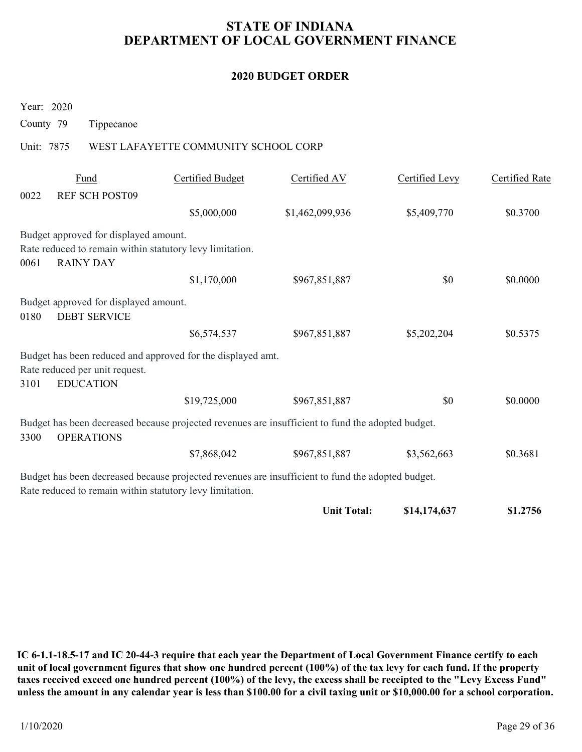# STATE OF INDIANA DEPARTMENT OF LOCAL GOVERNMENT FINANCE STATE OF INDIANA<br>
DEPARTMENT OF LOCAL GOVERNMENT I<br>
2020 BUDGET ORDER<br>
Year: 2020<br>
County 79 Tippecanoe<br>
Unit: 7875 WEST LAFAYETTE COMMUNITY SCHOOL CORP<br>
Fund Certified Budget Certified AV

### 2020 BUDGET ORDER

|                                                                                                                                                               | <b>STATE OF INDIANA</b><br>DEPARTMENT OF LOCAL GOVERNMENT FINANCE |                 |                       |                       |  |  |  |  |  |
|---------------------------------------------------------------------------------------------------------------------------------------------------------------|-------------------------------------------------------------------|-----------------|-----------------------|-----------------------|--|--|--|--|--|
| <b>2020 BUDGET ORDER</b>                                                                                                                                      |                                                                   |                 |                       |                       |  |  |  |  |  |
| Year: 2020<br>County 79<br>Tippecanoe                                                                                                                         |                                                                   |                 |                       |                       |  |  |  |  |  |
| Unit: 7875                                                                                                                                                    | WEST LAFAYETTE COMMUNITY SCHOOL CORP                              |                 |                       |                       |  |  |  |  |  |
| Fund                                                                                                                                                          | <b>Certified Budget</b>                                           | Certified AV    | <b>Certified Levy</b> | <b>Certified Rate</b> |  |  |  |  |  |
| 0022<br>REF SCH POST09                                                                                                                                        | \$5,000,000                                                       | \$1,462,099,936 | \$5,409,770           | \$0.3700              |  |  |  |  |  |
| Budget approved for displayed amount.<br>Rate reduced to remain within statutory levy limitation.<br><b>RAINY DAY</b><br>0061                                 |                                                                   |                 |                       |                       |  |  |  |  |  |
|                                                                                                                                                               | \$1,170,000                                                       | \$967,851,887   | \$0                   | \$0.0000              |  |  |  |  |  |
|                                                                                                                                                               |                                                                   |                 |                       |                       |  |  |  |  |  |
|                                                                                                                                                               |                                                                   |                 |                       |                       |  |  |  |  |  |
| Budget approved for displayed amount.<br><b>DEBT SERVICE</b><br>0180                                                                                          | \$6,574,537                                                       | \$967,851,887   | \$5,202,204           | \$0.5375              |  |  |  |  |  |
| Budget has been reduced and approved for the displayed amt.<br>Rate reduced per unit request.<br><b>EDUCATION</b><br>3101                                     |                                                                   |                 |                       |                       |  |  |  |  |  |
|                                                                                                                                                               | \$19,725,000                                                      | \$967,851,887   | \$0                   | \$0.0000              |  |  |  |  |  |
| Budget has been decreased because projected revenues are insufficient to fund the adopted budget.<br><b>OPERATIONS</b><br>3300                                |                                                                   |                 |                       |                       |  |  |  |  |  |
|                                                                                                                                                               | \$7,868,042                                                       | \$967,851,887   | \$3,562,663           | \$0.3681              |  |  |  |  |  |
| Budget has been decreased because projected revenues are insufficient to fund the adopted budget.<br>Rate reduced to remain within statutory levy limitation. |                                                                   |                 |                       |                       |  |  |  |  |  |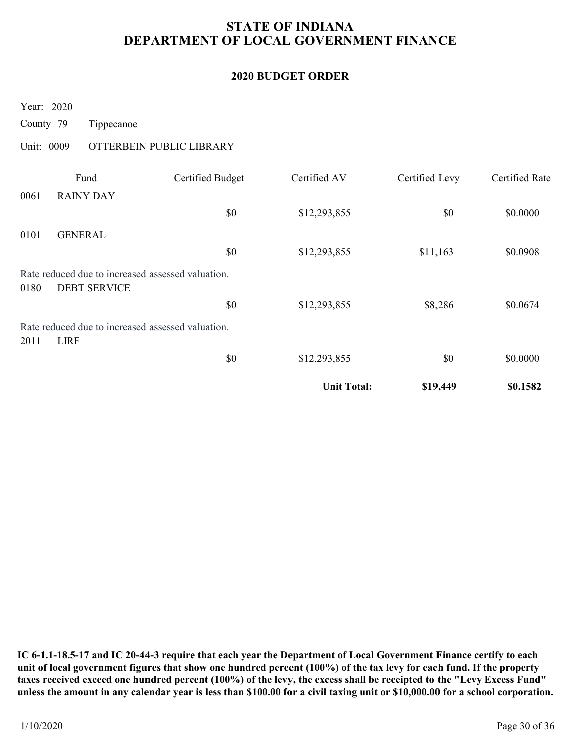# STATE OF INDIANA DEPARTMENT OF LOCAL GOVERNMENT FINANCE STATE OF INDIANA<br>
DEPARTMENT OF LOCAL GOVERNMENT I<br>
2020 BUDGET ORDER<br>
Year: 2020<br>
County 79 Tippecanoe<br>
Unit: 0009 OTTERBEIN PUBLIC LIBRARY<br>
<u>Fund</u> Certified Budget Certified AV</u>

### 2020 BUDGET ORDER

| <b>STATE OF INDIANA</b><br>DEPARTMENT OF LOCAL GOVERNMENT FINANCE                |                          |                    |                       |                       |  |  |  |  |
|----------------------------------------------------------------------------------|--------------------------|--------------------|-----------------------|-----------------------|--|--|--|--|
|                                                                                  |                          | 2020 BUDGET ORDER  |                       |                       |  |  |  |  |
| Year: 2020<br>County 79<br>Tippecanoe                                            |                          |                    |                       |                       |  |  |  |  |
| Unit: 0009                                                                       | OTTERBEIN PUBLIC LIBRARY |                    |                       |                       |  |  |  |  |
| Fund<br>0061<br><b>RAINY DAY</b>                                                 | <b>Certified Budget</b>  | Certified AV       | <b>Certified Levy</b> | <b>Certified Rate</b> |  |  |  |  |
|                                                                                  | $\$0$                    | \$12,293,855       | \$0                   | \$0.0000              |  |  |  |  |
| 0101<br><b>GENERAL</b>                                                           | \$0                      | \$12,293,855       | \$11,163              | \$0.0908              |  |  |  |  |
| Rate reduced due to increased assessed valuation.<br><b>DEBT SERVICE</b><br>0180 |                          |                    |                       |                       |  |  |  |  |
| Rate reduced due to increased assessed valuation.<br>2011<br><b>LIRF</b>         | \$0                      | \$12,293,855       | \$8,286               | \$0.0674              |  |  |  |  |
|                                                                                  | $\$0$                    | \$12,293,855       | \$0                   | \$0.0000              |  |  |  |  |
|                                                                                  |                          | <b>Unit Total:</b> | \$19,449              | \$0.1582              |  |  |  |  |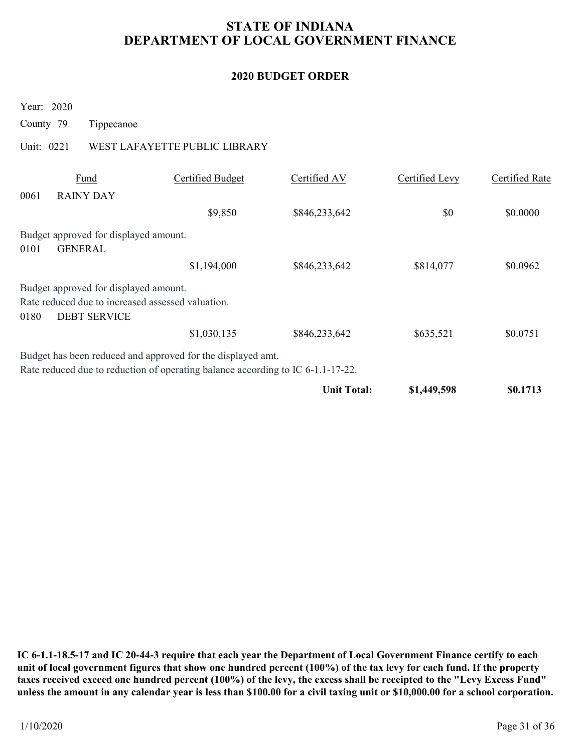# STATE OF INDIANA DEPARTMENT OF LOCAL GOVERNMENT FINANCE STATE OF INDIANA<br>
DEPARTMENT OF LOCAL GOVERNMENT I<br>
2020 BUDGET ORDER<br>
Year: 2020<br>
County 79 Tippecanoe<br>
Unit: 0221 WEST LAFAYETTE PUBLIC LIBRARY<br>
<u>Fund</u> Certified Budget Certified AV</u>

### 2020 BUDGET ORDER

| <b>STATE OF INDIANA</b><br>DEPARTMENT OF LOCAL GOVERNMENT FINANCE                                                                              |                               |                          |                       |                       |  |  |  |  |  |
|------------------------------------------------------------------------------------------------------------------------------------------------|-------------------------------|--------------------------|-----------------------|-----------------------|--|--|--|--|--|
|                                                                                                                                                |                               | <b>2020 BUDGET ORDER</b> |                       |                       |  |  |  |  |  |
| Year: 2020<br>County 79<br>Tippecanoe                                                                                                          |                               |                          |                       |                       |  |  |  |  |  |
| Unit: 0221                                                                                                                                     | WEST LAFAYETTE PUBLIC LIBRARY |                          |                       |                       |  |  |  |  |  |
| Fund<br>0061<br><b>RAINY DAY</b>                                                                                                               | <b>Certified Budget</b>       | Certified AV             | <b>Certified Levy</b> | <b>Certified Rate</b> |  |  |  |  |  |
|                                                                                                                                                | \$9,850                       | \$846,233,642            | \$0                   | \$0.0000              |  |  |  |  |  |
| Budget approved for displayed amount.<br><b>GENERAL</b><br>0101                                                                                |                               |                          |                       |                       |  |  |  |  |  |
|                                                                                                                                                | \$1,194,000                   | \$846,233,642            | \$814,077             | \$0.0962              |  |  |  |  |  |
| Budget approved for displayed amount.<br>Rate reduced due to increased assessed valuation.<br><b>DEBT SERVICE</b><br>0180                      |                               |                          |                       |                       |  |  |  |  |  |
|                                                                                                                                                | \$1,030,135                   | \$846,233,642            | \$635,521             | \$0.0751              |  |  |  |  |  |
| Budget has been reduced and approved for the displayed amt.<br>Rate reduced due to reduction of operating balance according to IC 6-1.1-17-22. |                               |                          |                       |                       |  |  |  |  |  |
|                                                                                                                                                |                               | <b>Unit Total:</b>       | \$1,449,598           | \$0.1713              |  |  |  |  |  |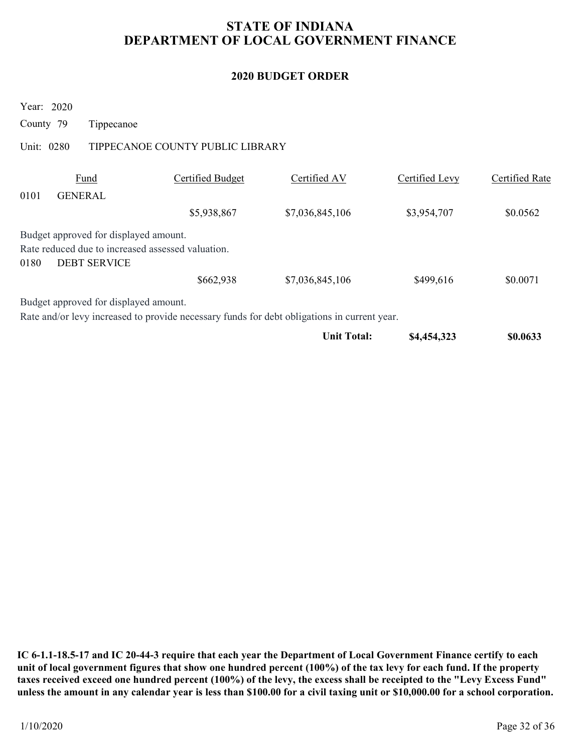# STATE OF INDIANA DEPARTMENT OF LOCAL GOVERNMENT FINANCE STATE OF INDIANA<br>
DEPARTMENT OF LOCAL GOVERNMENT I<br>
2020 BUDGET ORDER<br>
Year: 2020<br>
County 79 Tippecanoe<br>
Unit: 0280 TIPPECANOE COUNTY PUBLIC LIBRARY<br>
<u>Fund</u> Certified Budget Certified AV

### 2020 BUDGET ORDER

| <b>STATE OF INDIANA</b><br>DEPARTMENT OF LOCAL GOVERNMENT FINANCE |                                                                                                                   |                                  |                                                                                             |                |                       |  |  |  |
|-------------------------------------------------------------------|-------------------------------------------------------------------------------------------------------------------|----------------------------------|---------------------------------------------------------------------------------------------|----------------|-----------------------|--|--|--|
|                                                                   |                                                                                                                   |                                  | <b>2020 BUDGET ORDER</b>                                                                    |                |                       |  |  |  |
| Year: 2020<br>County 79                                           | Tippecanoe                                                                                                        |                                  |                                                                                             |                |                       |  |  |  |
| Unit: 0280                                                        |                                                                                                                   | TIPPECANOE COUNTY PUBLIC LIBRARY |                                                                                             |                |                       |  |  |  |
| 0101                                                              | Fund<br><b>GENERAL</b>                                                                                            | <b>Certified Budget</b>          | Certified AV                                                                                | Certified Levy | <b>Certified Rate</b> |  |  |  |
|                                                                   |                                                                                                                   | \$5,938,867                      | \$7,036,845,106                                                                             | \$3,954,707    | \$0.0562              |  |  |  |
| 0180                                                              | Budget approved for displayed amount.<br>Rate reduced due to increased assessed valuation.<br><b>DEBT SERVICE</b> |                                  |                                                                                             |                |                       |  |  |  |
|                                                                   |                                                                                                                   | \$662,938                        | \$7,036,845,106                                                                             | \$499,616      | \$0.0071              |  |  |  |
|                                                                   | Budget approved for displayed amount.                                                                             |                                  | Rate and/or levy increased to provide necessary funds for debt obligations in current year. |                |                       |  |  |  |
|                                                                   |                                                                                                                   |                                  | <b>Unit Total:</b>                                                                          | \$4,454,323    | \$0.0633              |  |  |  |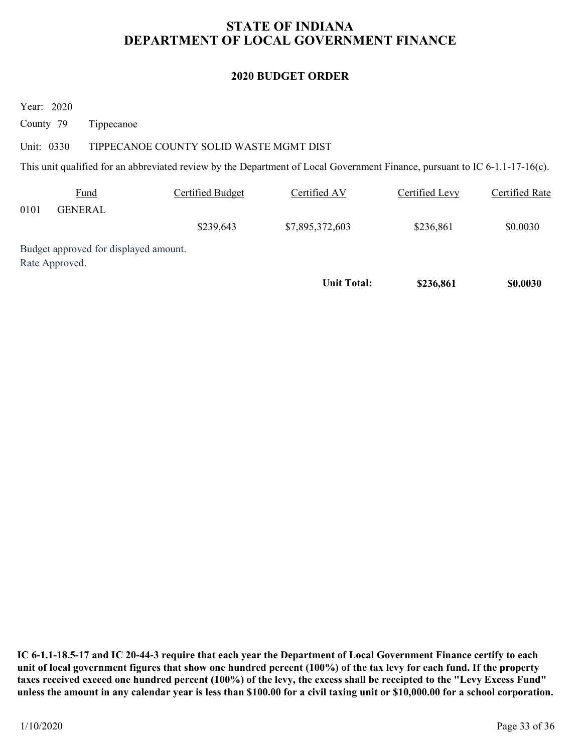# STATE OF INDIANA DEPARTMENT OF LOCAL GOVERNMENT FINANCE STATE OF INDIANA<br>
DEPARTMENT OF LOCAL GOVERNMENT I<br>
2020 BUDGET ORDER<br>
County 79 Tippecanoe<br>
Unit: 0330 TIPPECANOE COUNTY SOLID WASTE MGMT DIST<br>
This unit qualified for an abbreviated review by the Department of Local Gove

### 2020 BUDGET ORDER

|                                       |                                       |                                         | <b>STATE OF INDIANA</b><br>DEPARTMENT OF LOCAL GOVERNMENT FINANCE                                                           |                |                       |
|---------------------------------------|---------------------------------------|-----------------------------------------|-----------------------------------------------------------------------------------------------------------------------------|----------------|-----------------------|
|                                       |                                       |                                         | <b>2020 BUDGET ORDER</b>                                                                                                    |                |                       |
| Year: 2020<br>County 79<br>Unit: 0330 | Tippecanoe                            | TIPPECANOE COUNTY SOLID WASTE MGMT DIST |                                                                                                                             |                |                       |
|                                       |                                       |                                         | This unit qualified for an abbreviated review by the Department of Local Government Finance, pursuant to IC 6-1.1-17-16(c). |                |                       |
| 0101                                  | Fund<br><b>GENERAL</b>                | <b>Certified Budget</b>                 | Certified AV                                                                                                                | Certified Levy | <b>Certified Rate</b> |
|                                       |                                       | \$239,643                               | \$7,895,372,603                                                                                                             | \$236,861      | \$0.0030              |
| Rate Approved.                        | Budget approved for displayed amount. |                                         |                                                                                                                             |                |                       |
|                                       |                                       |                                         | <b>Unit Total:</b>                                                                                                          | \$236,861      | \$0.0030              |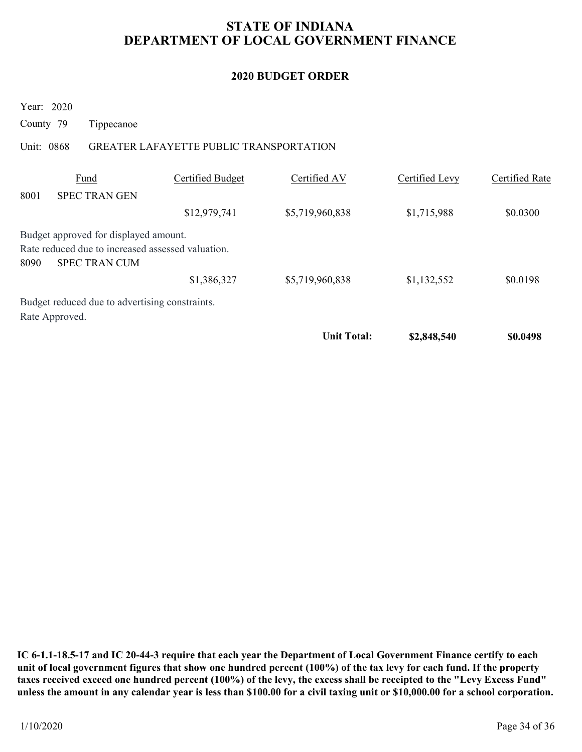# STATE OF INDIANA DEPARTMENT OF LOCAL GOVERNMENT FINANCE STATE OF INDIANA<br>
DEPARTMENT OF LOCAL GOVERNMENT I<br>
2020 BUDGET ORDER<br>
Year: 2020<br>
County 79 Tippecanoe<br>
Unit: 0868 GREATER LAFAYETTE PUBLIC TRANSPORTATION<br>
<u>Fund</u> Certified Budget Certified AV

### 2020 BUDGET ORDER

| <b>STATE OF INDIANA</b><br>DEPARTMENT OF LOCAL GOVERNMENT FINANCE |                                                                                                                    |                                         |                          |                       |                       |  |  |  |
|-------------------------------------------------------------------|--------------------------------------------------------------------------------------------------------------------|-----------------------------------------|--------------------------|-----------------------|-----------------------|--|--|--|
|                                                                   |                                                                                                                    |                                         | <b>2020 BUDGET ORDER</b> |                       |                       |  |  |  |
| County 79                                                         | Year: 2020<br>Tippecanoe                                                                                           |                                         |                          |                       |                       |  |  |  |
| Unit: 0868                                                        |                                                                                                                    | GREATER LAFAYETTE PUBLIC TRANSPORTATION |                          |                       |                       |  |  |  |
| 8001                                                              | Fund<br><b>SPEC TRAN GEN</b>                                                                                       | <b>Certified Budget</b>                 | Certified AV             | <b>Certified Levy</b> | <b>Certified Rate</b> |  |  |  |
| 8090                                                              | Budget approved for displayed amount.<br>Rate reduced due to increased assessed valuation.<br><b>SPEC TRAN CUM</b> | \$12,979,741                            | \$5,719,960,838          | \$1,715,988           | \$0.0300              |  |  |  |
|                                                                   |                                                                                                                    | \$1,386,327                             | \$5,719,960,838          | \$1,132,552           | \$0.0198              |  |  |  |
|                                                                   | Budget reduced due to advertising constraints.<br>Rate Approved.                                                   |                                         |                          |                       |                       |  |  |  |
|                                                                   |                                                                                                                    |                                         | <b>Unit Total:</b>       | \$2,848,540           | \$0.0498              |  |  |  |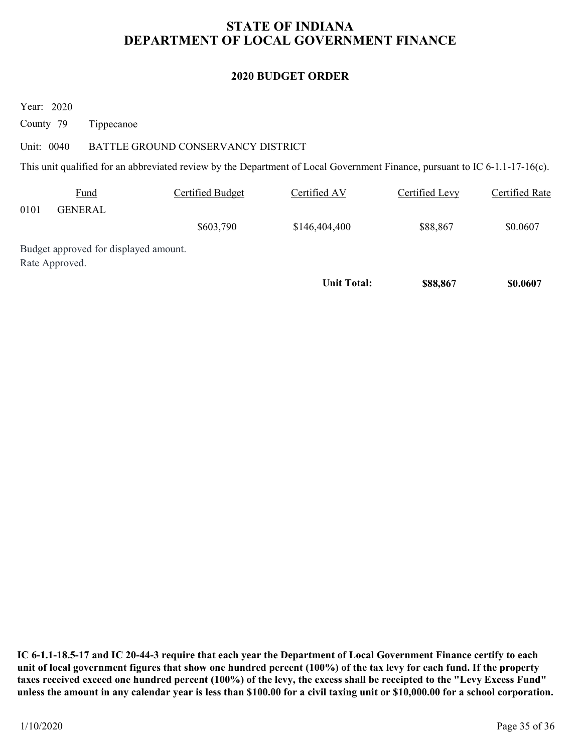# STATE OF INDIANA DEPARTMENT OF LOCAL GOVERNMENT FINANCE STATE OF INDIANA<br>
DEPARTMENT OF LOCAL GOVERNMENT I<br>
2020 BUDGET ORDER<br>
County 79 Tippecanoe<br>
Unit: 0040 BATTLE GROUND CONSERVANCY DISTRICT<br>
This unit qualified for an abbreviated review by the Department of Local Governmen

### 2020 BUDGET ORDER

|                                       |                                       |                                    | <b>STATE OF INDIANA</b><br>DEPARTMENT OF LOCAL GOVERNMENT FINANCE                                                           |                |                       |
|---------------------------------------|---------------------------------------|------------------------------------|-----------------------------------------------------------------------------------------------------------------------------|----------------|-----------------------|
|                                       |                                       |                                    | <b>2020 BUDGET ORDER</b>                                                                                                    |                |                       |
| Year: 2020<br>County 79<br>Unit: 0040 | Tippecanoe                            | BATTLE GROUND CONSERVANCY DISTRICT |                                                                                                                             |                |                       |
|                                       |                                       |                                    | This unit qualified for an abbreviated review by the Department of Local Government Finance, pursuant to IC 6-1.1-17-16(c). |                |                       |
| 0101                                  | Fund<br><b>GENERAL</b>                | <b>Certified Budget</b>            | Certified AV                                                                                                                | Certified Levy | <b>Certified Rate</b> |
|                                       |                                       | \$603,790                          | \$146,404,400                                                                                                               | \$88,867       | \$0.0607              |
| Rate Approved.                        | Budget approved for displayed amount. |                                    |                                                                                                                             |                |                       |
|                                       |                                       |                                    | <b>Unit Total:</b>                                                                                                          | \$88,867       | \$0.0607              |